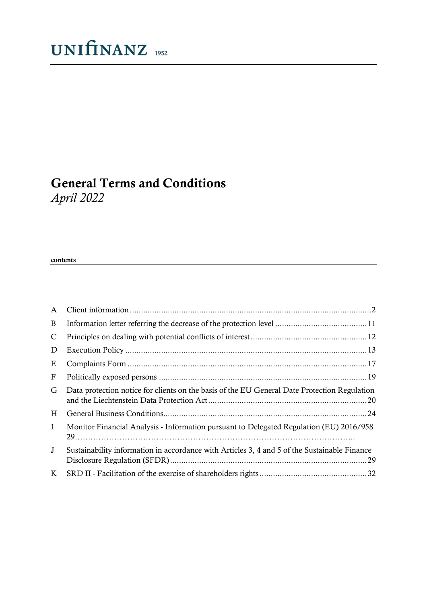# General Terms and Conditions

*April 2022*

### contents

| A            |                                                                                              |  |
|--------------|----------------------------------------------------------------------------------------------|--|
| B            |                                                                                              |  |
| C            |                                                                                              |  |
| D            |                                                                                              |  |
| E            |                                                                                              |  |
| $\mathbf F$  |                                                                                              |  |
| G            | Data protection notice for clients on the basis of the EU General Date Protection Regulation |  |
| H            |                                                                                              |  |
| $\mathbf{I}$ | Monitor Financial Analysis - Information pursuant to Delegated Regulation (EU) 2016/958      |  |
| J            | Sustainability information in accordance with Articles 3, 4 and 5 of the Sustainable Finance |  |
| K            |                                                                                              |  |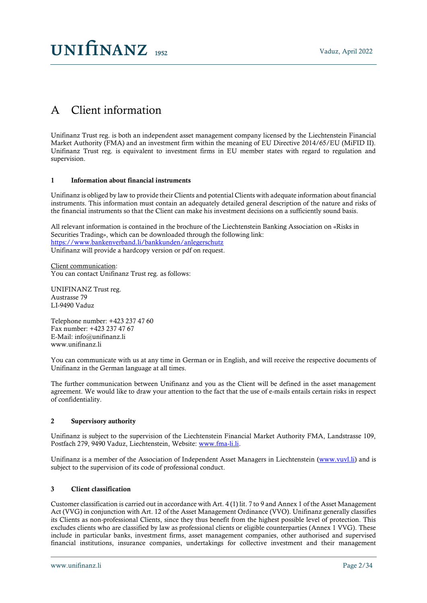# <span id="page-1-0"></span>A Client information

Unifinanz Trust reg. is both an independent asset management company licensed by the Liechtenstein Financial Market Authority (FMA) and an investment firm within the meaning of EU Directive 2014/65/EU (MiFID II). Unifinanz Trust reg. is equivalent to investment firms in EU member states with regard to regulation and supervision.

### 1 Information about financial instruments

Unifinanz is obliged by law to provide their Clients and potential Clients with adequate information about financial instruments. This information must contain an adequately detailed general description of the nature and risks of the financial instruments so that the Client can make his investment decisions on a sufficiently sound basis.

All relevant information is contained in the brochure of the Liechtenstein Banking Association on «Risks in Securities Trading», which can be downloaded through the following link: <https://www.bankenverband.li/bankkunden/anlegerschutz> Unifinanz will provide a hardcopy version or pdf on request.

Client communication: You can contact Unifinanz Trust reg. as follows:

UNIFINANZ Trust reg. Austrasse 79 LI-9490 Vaduz

Telephone number: +423 237 47 60 Fax number: +423 237 47 67 E-Mail: [info@unifinanz.li](mailto:info@unifinanz.li) [www.unifinanz.li](http://www.unifinanz.li/)

You can communicate with us at any time in German or in English, and will receive the respective documents of Unifinanz in the German language at all times.

The further communication between Unifinanz and you as the Client will be defined in the asset management agreement. We would like to draw your attention to the fact that the use of e-mails entails certain risks in respect of confidentiality.

### 2 Supervisory authority

Unifinanz is subject to the supervision of the Liechtenstein Financial Market Authority FMA, Landstrasse 109, Postfach 279, 9490 Vaduz, Liechtenstein, Website: [www.fma-li.li.](http://www.fma-li.li/)

Unifinanz is a member of the Association of Independent Asset Managers in Liechtenstein [\(www.vuvl.li\)](http://www.vuvl.li/) and is subject to the supervision of its code of professional conduct.

### 3 Client classification

Customer classification is carried out in accordance with Art. 4 (1) lit. 7 to 9 and Annex 1 of the Asset Management Act (VVG) in conjunction with Art. 12 of the Asset Management Ordinance (VVO). Unifinanz generally classifies its Clients as non-professional Clients, since they thus benefit from the highest possible level of protection. This excludes clients who are classified by law as professional clients or eligible counterparties (Annex 1 VVG). These include in particular banks, investment firms, asset management companies, other authorised and supervised financial institutions, insurance companies, undertakings for collective investment and their management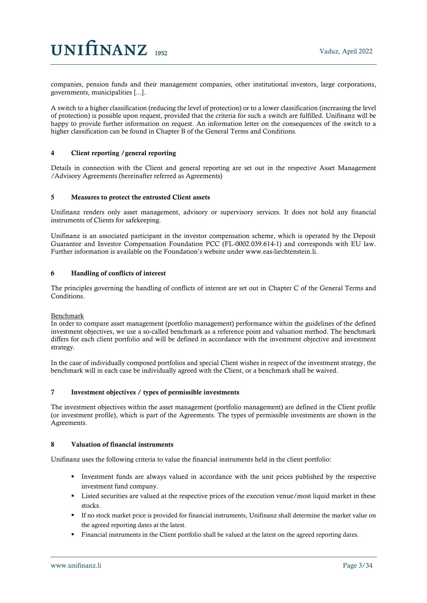# $UNIfINANZ_{1952}$

companies, pension funds and their management companies, other institutional investors, large corporations, governments, municipalities [...].

A switch to a higher classification (reducing the level of protection) or to a lower classification (increasing the level of protection) is possible upon request, provided that the criteria for such a switch are fulfilled. Unifinanz will be happy to provide further information on request. An information letter on the consequences of the switch to a higher classification can be found in Chapter B of the General Terms and Conditions.

### 4 Client reporting /general reporting

Details in connection with the Client and general reporting are set out in the respective Asset Management /Advisory Agreements (hereinafter referred as Agreements)

### 5 Measures to protect the entrusted Client assets

Unifinanz renders only asset management, advisory or supervisory services. It does not hold any financial instruments of Clients for safekeeping.

Unifinanz is an associated participant in the investor compensation scheme, which is operated by the Deposit Guarantee and Investor Compensation Foundation PCC (FL-0002.039.614-1) and corresponds with EU law. Further information is available on the Foundation's website under [www.eas-liechtenstein.li.](http://www.eas-liechtenstein.li/)

#### 6 Handling of conflicts of interest

The principles governing the handling of conflicts of interest are set out in Chapter C of the General Terms and Conditions.

#### Benchmark

In order to compare asset management (portfolio management) performance within the guidelines of the defined investment objectives, we use a so-called benchmark as a reference point and valuation method. The benchmark differs for each client portfolio and will be defined in accordance with the investment objective and investment strategy.

In the case of individually composed portfolios and special Client wishes in respect of the investment strategy, the benchmark will in each case be individually agreed with the Client, or a benchmark shall be waived.

### 7 Investment objectives / types of permissible investments

The investment objectives within the asset management (portfolio management) are defined in the Client profile (or investment profile), which is part of the Agreements. The types of permissible investments are shown in the Agreements.

#### 8 Valuation of financial instruments

Unifinanz uses the following criteria to value the financial instruments held in the client portfolio:

- Investment funds are always valued in accordance with the unit prices published by the respective investment fund company.
- Listed securities are valued at the respective prices of the execution venue/most liquid market in these stocks.
- If no stock market price is provided for financial instruments, Unifinanz shall determine the market value on the agreed reporting dates at the latest.
- Financial instruments in the Client portfolio shall be valued at the latest on the agreed reporting dates.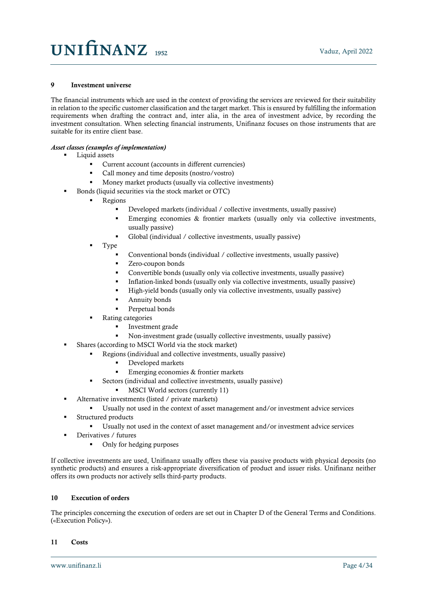#### 9 Investment universe

The financial instruments which are used in the context of providing the services are reviewed for their suitability in relation to the specific customer classification and the target market. This is ensured by fulfilling the information requirements when drafting the contract and, inter alia, in the area of investment advice, by recording the investment consultation. When selecting financial instruments, Unifinanz focuses on those instruments that are suitable for its entire client base.

### *Asset classes (examples of implementation)*

- Liquid assets
	- Current account (accounts in different currencies)
	- Call money and time deposits (nostro/vostro)
	- Money market products (usually via collective investments)
- Bonds (liquid securities via the stock market or OTC)
	- **Regions** 
		- Developed markets (individual / collective investments, usually passive)
		- **Emerging economies & frontier markets (usually only via collective investments,** usually passive)
		- Global (individual / collective investments, usually passive)
	- **Type** 
		- Conventional bonds (individual / collective investments, usually passive)
		- Zero-coupon bonds
		- Convertible bonds (usually only via collective investments, usually passive)
		- Inflation-linked bonds (usually only via collective investments, usually passive)
		- High-yield bonds (usually only via collective investments, usually passive)
		- Annuity bonds
		- Perpetual bonds
		- Rating categories
			- Investment grade
			- Non-investment grade (usually collective investments, usually passive)
- Shares (according to MSCI World via the stock market)
	- Regions (individual and collective investments, usually passive)
		- Developed markets
		- Emerging economies & frontier markets
	- Sectors (individual and collective investments, usually passive)
		- MSCI World sectors (currently 11)
- **•** Alternative investments (listed / private markets)
	- Usually not used in the context of asset management and/or investment advice services
- Structured products
	- Usually not used in the context of asset management and/or investment advice services
- Derivatives / futures
	- Only for hedging purposes

If collective investments are used, Unifinanz usually offers these via passive products with physical deposits (no synthetic products) and ensures a risk-appropriate diversification of product and issuer risks. Unifinanz neither offers its own products nor actively sells third-party products.

### 10 Execution of orders

The principles concerning the execution of orders are set out in Chapter D of the General Terms and Conditions. («Execution Policy»).

#### 11 Costs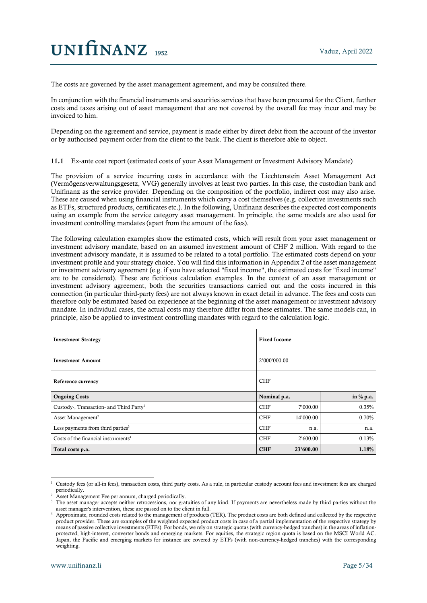The costs are governed by the asset management agreement, and may be consulted there.

In conjunction with the financial instruments and securities services that have been procured for the Client, further costs and taxes arising out of asset management that are not covered by the overall fee may incur and may be invoiced to him.

Depending on the agreement and service, payment is made either by direct debit from the account of the investor or by authorised payment order from the client to the bank. The client is therefore able to object.

11.1 Ex-ante cost report (estimated costs of your Asset Management or Investment Advisory Mandate)

The provision of a service incurring costs in accordance with the Liechtenstein Asset Management Act (Vermögensverwaltungsgesetz, VVG) generally involves at least two parties. In this case, the custodian bank and Unifinanz as the service provider. Depending on the composition of the portfolio, indirect cost may also arise. These are caused when using financial instruments which carry a cost themselves (e.g. collective investments such as ETFs, structured products, certificates etc.). In the following, Unifinanz describes the expected cost components using an example from the service category asset management. In principle, the same models are also used for investment controlling mandates (apart from the amount of the fees).

The following calculation examples show the estimated costs, which will result from your asset management or investment advisory mandate, based on an assumed investment amount of CHF 2 million. With regard to the investment advisory mandate, it is assumed to be related to a total portfolio. The estimated costs depend on your investment profile and your strategy choice. You will find this information in Appendix 2 of the asset management or investment advisory agreement (e.g. if you have selected "fixed income", the estimated costs for "fixed income" are to be considered). These are fictitious calculation examples. In the context of an asset management or investment advisory agreement, both the securities transactions carried out and the costs incurred in this connection (in particular third-party fees) are not always known in exact detail in advance. The fees and costs can therefore only be estimated based on experience at the beginning of the asset management or investment advisory mandate. In individual cases, the actual costs may therefore differ from these estimates. The same models can, in principle, also be applied to investment controlling mandates with regard to the calculation logic.

| <b>Investment Strategy</b>                          |              | <b>Fixed Income</b> |           |  |
|-----------------------------------------------------|--------------|---------------------|-----------|--|
| <b>Investment Amount</b>                            |              | 2'000'000.00        |           |  |
| Reference currency                                  |              | <b>CHF</b>          |           |  |
| <b>Ongoing Costs</b>                                | Nominal p.a. |                     | in % p.a. |  |
| Custody-, Transaction- and Third Party <sup>1</sup> | <b>CHF</b>   | 7'000.00            | 0.35%     |  |
| Asset Management <sup>2</sup>                       | <b>CHF</b>   | 14'000.00           | 0.70%     |  |
| Less payments from third parties $3$                | <b>CHF</b>   | n.a.                | n.a.      |  |
| Costs of the financial instruments <sup>4</sup>     | <b>CHF</b>   | 2'600.00            | 0.13%     |  |
| Total costs p.a.                                    | <b>CHF</b>   | 23'600.00           | 1.18%     |  |

<sup>1</sup> Custody fees (or all-in fees), transaction costs, third party costs. As a rule, in particular custody account fees and investment fees are charged periodically.

Asset Management Fee per annum, charged periodically.

<sup>3</sup> The asset manager accepts neither retrocessions, nor gratuities of any kind. If payments are nevertheless made by third parties without the asset manager's intervention, these are passed on to the client in full.

<sup>4</sup> Approximate, rounded costs related to the management of products (TER). The product costs are both defined and collected by the respective product provider. These are examples of the weighted expected product costs in case of a partial implementation of the respective strategy by means of passive collective investments (ETFs). For bonds, we rely on strategic quotas (with currency-hedged tranches) in the areas of inflationprotected, high-interest, converter bonds and emerging markets. For equities, the strategic region quota is based on the MSCI World AC. Japan, the Pacific and emerging markets for instance are covered by ETFs (with non-currency-hedged tranches) with the corresponding weighting.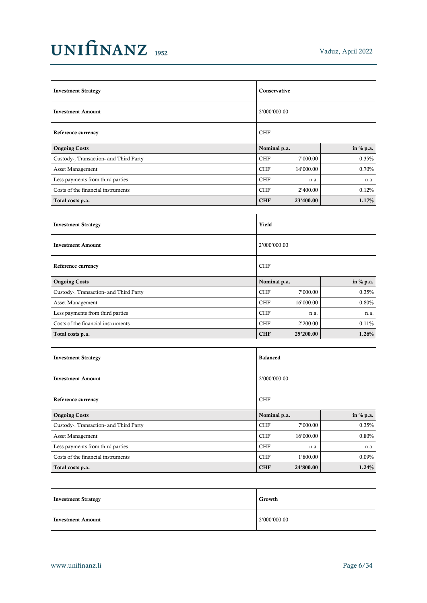| Conservative<br><b>Investment Strategy</b> |              |              |           |  |
|--------------------------------------------|--------------|--------------|-----------|--|
| <b>Investment Amount</b>                   |              | 2'000'000.00 |           |  |
| Reference currency                         |              | <b>CHF</b>   |           |  |
| <b>Ongoing Costs</b>                       | Nominal p.a. |              | in % p.a. |  |
| Custody-, Transaction- and Third Party     | <b>CHF</b>   | 7'000.00     | 0.35%     |  |
| <b>Asset Management</b>                    | <b>CHF</b>   | 14'000.00    | 0.70%     |  |
| Less payments from third parties           | <b>CHF</b>   | n.a.         | n.a.      |  |
| Costs of the financial instruments         | <b>CHF</b>   | 2'400.00     | 0.12%     |  |
| Total costs p.a.                           | <b>CHF</b>   | 23'400.00    | 1.17%     |  |

| Yield<br><b>Investment Strategy</b>    |              |              |           |  |
|----------------------------------------|--------------|--------------|-----------|--|
| <b>Investment Amount</b>               |              | 2'000'000.00 |           |  |
| Reference currency                     |              | <b>CHF</b>   |           |  |
| <b>Ongoing Costs</b>                   | Nominal p.a. |              | in % p.a. |  |
| Custody-, Transaction- and Third Party | <b>CHF</b>   | 7'000.00     | 0.35%     |  |
| <b>Asset Management</b>                | <b>CHF</b>   | 16'000.00    | 0.80%     |  |
| Less payments from third parties       | <b>CHF</b>   | n.a.         | n.a.      |  |
| Costs of the financial instruments     | <b>CHF</b>   | 2'200.00     | 0.11%     |  |
| Total costs p.a.                       | <b>CHF</b>   | 25'200.00    | 1.26%     |  |

| <b>Investment Strategy</b>             |              | <b>Balanced</b> |           |  |
|----------------------------------------|--------------|-----------------|-----------|--|
| <b>Investment Amount</b>               |              | 2'000'000.00    |           |  |
| Reference currency                     |              | <b>CHF</b>      |           |  |
| <b>Ongoing Costs</b>                   | Nominal p.a. |                 | in % p.a. |  |
| Custody-, Transaction- and Third Party | <b>CHF</b>   | 7'000.00        | 0.35%     |  |
| <b>Asset Management</b>                | <b>CHF</b>   | 16'000.00       | $0.80\%$  |  |
| Less payments from third parties       | <b>CHF</b>   | n.a.            | n.a.      |  |
| Costs of the financial instruments     | <b>CHF</b>   | 1'800.00        | $0.09\%$  |  |
| Total costs p.a.                       | <b>CHF</b>   | 24'800.00       | 1.24%     |  |

| <b>Investment Strategy</b> | Growth       |
|----------------------------|--------------|
| <b>Investment Amount</b>   | 2'000'000.00 |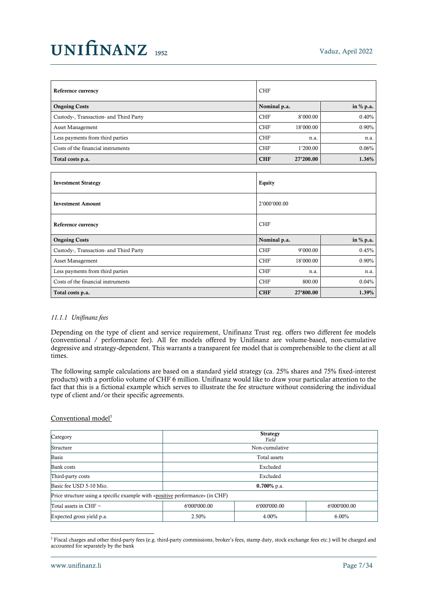| Reference currency                     |              | <b>CHF</b> |           |  |
|----------------------------------------|--------------|------------|-----------|--|
| <b>Ongoing Costs</b>                   | Nominal p.a. |            | in % p.a. |  |
| Custody-, Transaction- and Third Party | <b>CHF</b>   | 8'000.00   | 0.40%     |  |
| <b>Asset Management</b>                | <b>CHF</b>   | 18'000.00  | 0.90%     |  |
| Less payments from third parties       | <b>CHF</b>   | n.a.       | n.a.      |  |
| Costs of the financial instruments     | <b>CHF</b>   | 1'200.00   | 0.06%     |  |
| Total costs p.a.                       | <b>CHF</b>   | 27'200.00  | 1.36%     |  |
|                                        |              |            |           |  |

| <b>Investment Strategy</b>               | Equity       |            |             |
|------------------------------------------|--------------|------------|-------------|
| 2'000'000.00<br><b>Investment Amount</b> |              |            |             |
| Reference currency                       |              | <b>CHF</b> |             |
| <b>Ongoing Costs</b>                     | Nominal p.a. |            | in $% p.a.$ |
| Custody-, Transaction- and Third Party   | <b>CHF</b>   | 9'000.00   | 0.45%       |
| <b>Asset Management</b>                  | <b>CHF</b>   | 18'000.00  | 0.90%       |
| Less payments from third parties         | <b>CHF</b>   | n.a.       | n.a.        |
| Costs of the financial instruments       | <b>CHF</b>   | 800.00     | 0.04%       |
| Total costs p.a.                         | <b>CHF</b>   | 27'800.00  | 1.39%       |

### *11.1.1 Unifinanz fees*

Depending on the type of client and service requirement, Unifinanz Trust reg. offers two different fee models (conventional / performance fee). All fee models offered by Unifinanz are volume-based, non-cumulative degressive and strategy-dependent. This warrants a transparent fee model that is comprehensible to the client at all times.

The following sample calculations are based on a standard yield strategy (ca. 25% shares and 75% fixed-interest products) with a portfolio volume of CHF 6 million. Unifinanz would like to draw your particular attention to the fact that this is a fictional example which serves to illustrate the fee structure without considering the individual type of client and/or their specific agreements.

### Conventional model<sup>5</sup>

| Category                                                                      | <b>Strategy</b><br>Yield                     |                |  |  |  |
|-------------------------------------------------------------------------------|----------------------------------------------|----------------|--|--|--|
| Structure                                                                     |                                              | Non-cumulative |  |  |  |
| <b>Basis</b>                                                                  |                                              | Total assets   |  |  |  |
| Bank costs                                                                    | Excluded                                     |                |  |  |  |
| Third-party costs                                                             | Excluded                                     |                |  |  |  |
| Basic fee USD 5-10 Mio.                                                       | $0.700\%$ p.a.                               |                |  |  |  |
| Price structure using a specific example with «positive performance» (in CHF) |                                              |                |  |  |  |
| Total assets in CHF $\sim$                                                    | 6'000'000.00<br>6'000'000.00<br>6'000'000.00 |                |  |  |  |
| Expected gross yield p.a.                                                     | $6.00\%$<br>2.50%<br>4.00%                   |                |  |  |  |

<sup>&</sup>lt;sup>5</sup> Fiscal charges and other third-party fees (e.g. third-party commissions, broker's fees, stamp duty, stock exchange fees etc.) will be charged and accounted for separately by the bank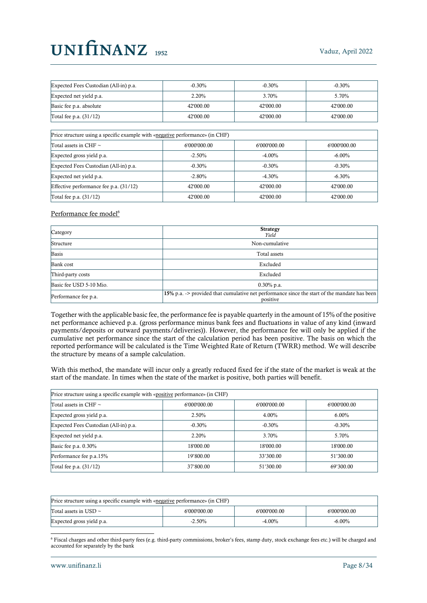| Expected Fees Custodian (All-in) p.a. | $-0.30%$  | $-0.30\%$ | $-0.30\%$ |
|---------------------------------------|-----------|-----------|-----------|
| Expected net yield p.a.               | 2.20%     | 3.70%     | 5.70%     |
| Basic fee p.a. absolute               | 42'000.00 | 42'000.00 | 42'000.00 |
| Total fee p.a. (31/12)                | 42'000.00 | 42'000.00 | 42'000.00 |

| Price structure using a specific example with «negative performance» (in CHF) |              |              |              |  |
|-------------------------------------------------------------------------------|--------------|--------------|--------------|--|
| Total assets in CHF $\sim$                                                    | 6'000'000.00 | 6'000'000.00 | 6'000'000.00 |  |
| Expected gross yield p.a.                                                     | $-2.50%$     | $-4.00\%$    | $-6.00\%$    |  |
| Expected Fees Custodian (All-in) p.a.                                         | $-0.30%$     | $-0.30%$     | $-0.30%$     |  |
| Expected net yield p.a.                                                       | $-2.80%$     | $-4.30%$     | $-6.30%$     |  |
| Effective performance fee p.a. (31/12)                                        | 42'000.00    | 42'000.00    | 42'000.00    |  |
| Total fee p.a. (31/12)                                                        | 42'000.00    | 42'000.00    | 42'000.00    |  |

### Performance fee model<sup>6</sup>

| Category                | <b>Strategy</b><br>Yield                                                                                 |
|-------------------------|----------------------------------------------------------------------------------------------------------|
| Structure               | Non-cumulative                                                                                           |
| <b>Basis</b>            | Total assets                                                                                             |
| Bank cost               | Excluded                                                                                                 |
| Third-party costs       | Excluded                                                                                                 |
| Basic fee USD 5-10 Mio. | $0.30\%$ p.a.                                                                                            |
| Performance fee p.a.    | 15% p.a. -> provided that cumulative net performance since the start of the mandate has been<br>positive |

Together with the applicable basic fee, the performance fee is payable quarterly in the amount of 15% of the positive net performance achieved p.a. (gross performance minus bank fees and fluctuations in value of any kind (inward payments/deposits or outward payments/deliveries)). However, the performance fee will only be applied if the cumulative net performance since the start of the calculation period has been positive. The basis on which the reported performance will be calculated is the Time Weighted Rate of Return (TWRR) method. We will describe the structure by means of a sample calculation.

With this method, the mandate will incur only a greatly reduced fixed fee if the state of the market is weak at the start of the mandate. In times when the state of the market is positive, both parties will benefit.

| Price structure using a specific example with «positive performance» (in CHF) |              |              |              |
|-------------------------------------------------------------------------------|--------------|--------------|--------------|
| Total assets in CHF $\sim$                                                    | 6'000'000.00 | 6'000'000.00 | 6'000'000.00 |
| Expected gross yield p.a.                                                     | 2.50%        | 4.00%        | $6.00\%$     |
| Expected Fees Custodian (All-in) p.a.                                         | $-0.30%$     | $-0.30%$     | $-0.30%$     |
| Expected net yield p.a.                                                       | 2.20%        | 3.70%        | 5.70%        |
| Basic fee p.a. 0.30%                                                          | 18'000.00    | 18'000.00    | 18'000.00    |
| Performance fee p.a.15%                                                       | 19'800.00    | 33'300.00    | 51'300.00    |
| Total fee p.a. (31/12)                                                        | 37'800.00    | 51'300.00    | 69'300.00    |

| Price structure using a specific example with «negative performance» (in CHF) |              |              |              |
|-------------------------------------------------------------------------------|--------------|--------------|--------------|
| Total assets in USD $\sim$                                                    | 6'000'000.00 | 6'000'000.00 | 6'000'000.00 |
| Expected gross yield p.a.                                                     | $-2.50\%$    | $-4.00\%$    | -6.00%       |

<sup>6</sup> Fiscal charges and other third-party fees (e.g. third-party commissions, broker's fees, stamp duty, stock exchange fees etc.) will be charged and accounted for separately by the bank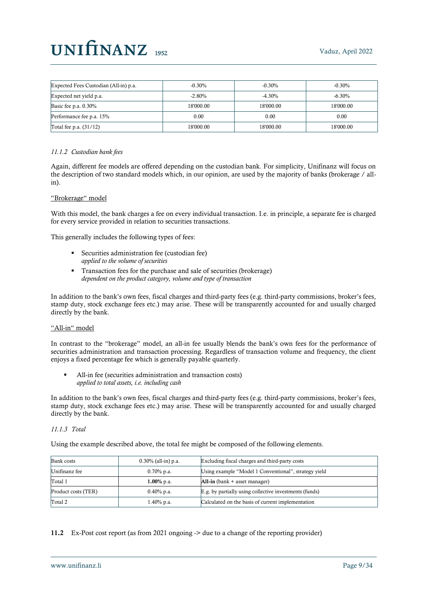| Expected Fees Custodian (All-in) p.a. | $-0.30%$  | $-0.30%$  | $-0.30%$  |
|---------------------------------------|-----------|-----------|-----------|
| Expected net yield p.a.               | $-2.80%$  | $-4.30%$  | $-6.30%$  |
| Basic fee p.a. $0.30\%$               | 18'000.00 | 18'000.00 | 18'000.00 |
| Performance fee p.a. 15%              | 0.00      | 0.00      | 0.00      |
| Total fee p.a. (31/12)                | 18'000.00 | 18'000.00 | 18'000.00 |

### *11.1.2 Custodian bank fees*

Again, different fee models are offered depending on the custodian bank. For simplicity, Unifinanz will focus on the description of two standard models which, in our opinion, are used by the majority of banks (brokerage / allin).

#### "Brokerage" model

With this model, the bank charges a fee on every individual transaction. I.e. in principle, a separate fee is charged for every service provided in relation to securities transactions.

This generally includes the following types of fees:

- Securities administration fee (custodian fee) *applied to the volume of securities*
- Transaction fees for the purchase and sale of securities (brokerage) *dependent on the product category, volume and type of transaction*

In addition to the bank's own fees, fiscal charges and third-party fees (e.g. third-party commissions, broker's fees, stamp duty, stock exchange fees etc.) may arise. These will be transparently accounted for and usually charged directly by the bank.

#### "All-in" model

In contrast to the "brokerage" model, an all-in fee usually blends the bank's own fees for the performance of securities administration and transaction processing. Regardless of transaction volume and frequency, the client enjoys a fixed percentage fee which is generally payable quarterly.

▪ All-in fee (securities administration and transaction costs) *applied to total assets, i.e. including cash*

In addition to the bank's own fees, fiscal charges and third-party fees (e.g. third-party commissions, broker's fees, stamp duty, stock exchange fees etc.) may arise. These will be transparently accounted for and usually charged directly by the bank.

### *11.1.3 Total*

Using the example described above, the total fee might be composed of the following elements.

| <b>Bank</b> costs   | $0.30\%$ (all-in) p.a. | Excluding fiscal charges and third-party costs         |
|---------------------|------------------------|--------------------------------------------------------|
| Unifinanz fee       | $0.70\%$ p.a.          | Using example "Model 1 Conventional", strategy yield   |
| Total 1             | $1.00\%$ p.a.          | All-in $(bank + asset manager)$                        |
| Product costs (TER) | $0.40\%$ p.a.          | E.g. by partially using collective investments (funds) |
| Total 2             | 1.40% p.a.             | Calculated on the basis of current implementation      |

11.2 Ex-Post cost report (as from 2021 ongoing -> due to a change of the reporting provider)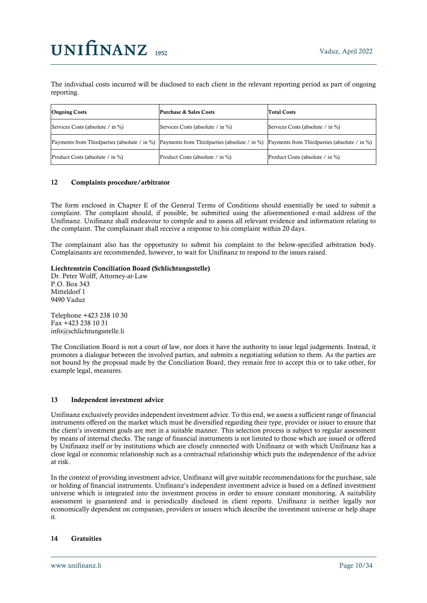The individual costs incurred will be disclosed to each client in the relevant reporting period as part of ongoing reporting.

| <b>Ongoing Costs</b>                                                                                                                   | <b>Purchase &amp; Sales Costs</b> | <b>Total Costs</b>               |
|----------------------------------------------------------------------------------------------------------------------------------------|-----------------------------------|----------------------------------|
| Services Costs (absolute / in %)                                                                                                       | Services Costs (absolute / in %)  | Services Costs (absolute / in %) |
| Payments from Thirdparties (absolute / in %) Payments from Thirdparties (absolute / in %) Payments from Thirdparties (absolute / in %) |                                   |                                  |
| Product Costs (absolute / in %)                                                                                                        | Product Costs (absolute / in %)   | Product Costs (absolute / in %)  |

### 12 Complaints procedure/arbitrator

The form enclosed in Chapter E of the General Terms of Conditions should essentially be used to submit a complaint. The complaint should, if possible, be submitted using the aforementioned e-mail address of the Unifinanz. Unifinanz shall endeavour to compile and to assess all relevant evidence and information relating to the complaint. The complainant shall receive a response to his complaint within 20 days.

The complainant also has the opportunity to submit his complaint to the below-specified arbitration body. Complainants are recommended, however, to wait for Unifinanz to respond to the issues raised.

### Liechtenstein Conciliation Board (Schlichtungsstelle)

Dr. Peter Wolff, Attorney-at-Law P.O. Box 343 Mitteldorf 1 9490 Vaduz

Telephone +423 238 10 30 Fax +423 238 10 31 info@schlichtungsstelle.li

The Conciliation Board is not a court of law, nor does it have the authority to issue legal judgements. Instead, it promotes a dialogue between the involved parties, and submits a negotiating solution to them. As the parties are not bound by the proposal made by the Conciliation Board, they remain free to accept this or to take other, for example legal, measures.

#### 13 Independent investment advice

Unifinanz exclusively provides independent investment advice. To this end, we assess a sufficient range of financial instruments offered on the market which must be diversified regarding their type, provider or issuer to ensure that the client's investment goals are met in a suitable manner. This selection process is subject to regular assessment by means of internal checks. The range of financial instruments is not limited to those which are issued or offered by Unifinanz itself or by institutions which are closely connected with Unifinanz or with which Unifinanz has a close legal or economic relationship such as a contractual relationship which puts the independence of the advice at risk.

In the context of providing investment advice, Unifinanz will give suitable recommendations for the purchase, sale or holding of financial instruments. Unifinanz's independent investment advice is based on a defined investment universe which is integrated into the investment process in order to ensure constant monitoring. A suitability assessment is guaranteed and is periodically disclosed in client reports. Unifinanz is neither legally nor economically dependent on companies, providers or issuers which describe the investment universe or help shape it.

### 14 Gratuities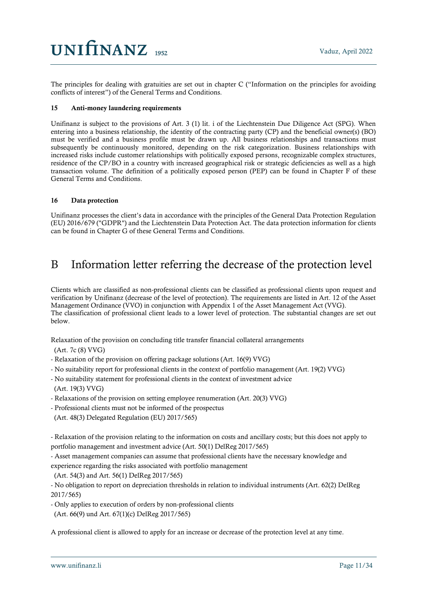The principles for dealing with gratuities are set out in chapter C ("Information on the principles for avoiding conflicts of interest") of the General Terms and Conditions.

#### 15 Anti-money laundering requirements

Unifinanz is subject to the provisions of Art. 3 (1) lit. i of the Liechtenstein Due Diligence Act (SPG). When entering into a business relationship, the identity of the contracting party (CP) and the beneficial owner(s) (BO) must be verified and a business profile must be drawn up. All business relationships and transactions must subsequently be continuously monitored, depending on the risk categorization. Business relationships with increased risks include customer relationships with politically exposed persons, recognizable complex structures, residence of the CP/BO in a country with increased geographical risk or strategic deficiencies as well as a high transaction volume. The definition of a politically exposed person (PEP) can be found in Chapter F of these General Terms and Conditions.

### 16 Data protection

Unifinanz processes the client's data in accordance with the principles of the General Data Protection Regulation (EU) 2016/679 ("GDPR") and the Liechtenstein Data Protection Act. The data protection information for clients can be found in Chapter G of these General Terms and Conditions.

## <span id="page-10-0"></span>B Information letter referring the decrease of the protection level

Clients which are classified as non-professional clients can be classified as professional clients upon request and verification by Unifinanz (decrease of the level of protection). The requirements are listed in Art. 12 of the Asset Management Ordinance (VVO) in conjunction with Appendix 1 of the Asset Management Act (VVG). The classification of professional client leads to a lower level of protection. The substantial changes are set out below.

Relaxation of the provision on concluding title transfer financial collateral arrangements

(Art. 7c (8) VVG)

- Relaxation of the provision on offering package solutions (Art. 16(9) VVG)
- No suitability report for professional clients in the context of portfolio management (Art. 19(2) VVG)
- No suitability statement for professional clients in the context of investment advice (Art. 19(3) VVG)
- Relaxations of the provision on setting employee renumeration (Art. 20(3) VVG)
- Professional clients must not be informed of the prospectus

(Art. 48(3) Delegated Regulation (EU) 2017/565)

- Relaxation of the provision relating to the information on costs and ancillary costs; but this does not apply to portfolio management and investment advice (Art. 50(1) DelReg 2017/565)

- Asset management companies can assume that professional clients have the necessary knowledge and

- experience regarding the risks associated with portfolio management
- (Art. 54(3) and Art. 56(1) DelReg 2017/565)

- No obligation to report on depreciation thresholds in relation to individual instruments (Art. 62(2) DelReg 2017/565)

- Only applies to execution of orders by non-professional clients
- (Art. 66(9) und Art. 67(1)(c) DelReg 2017/565)

A professional client is allowed to apply for an increase or decrease of the protection level at any time.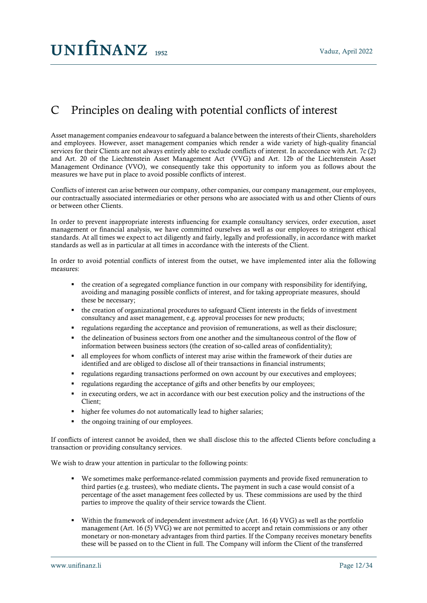# <span id="page-11-0"></span>C Principles on dealing with potential conflicts of interest

Asset management companies endeavour to safeguard a balance between the interests of their Clients, shareholders and employees. However, asset management companies which render a wide variety of high-quality financial services for their Clients are not always entirely able to exclude conflicts of interest. In accordance with Art. 7c (2) and Art. 20 of the Liechtenstein Asset Management Act (VVG) and Art. 12b of the Liechtenstein Asset Management Ordinance (VVO), we consequently take this opportunity to inform you as follows about the measures we have put in place to avoid possible conflicts of interest.

Conflicts of interest can arise between our company, other companies, our company management, our employees, our contractually associated intermediaries or other persons who are associated with us and other Clients of ours or between other Clients.

In order to prevent inappropriate interests influencing for example consultancy services, order execution, asset management or financial analysis, we have committed ourselves as well as our employees to stringent ethical standards. At all times we expect to act diligently and fairly, legally and professionally, in accordance with market standards as well as in particular at all times in accordance with the interests of the Client.

In order to avoid potential conflicts of interest from the outset, we have implemented inter alia the following measures:

- the creation of a segregated compliance function in our company with responsibility for identifying, avoiding and managing possible conflicts of interest, and for taking appropriate measures, should these be necessary;
- the creation of organizational procedures to safeguard Client interests in the fields of investment consultancy and asset management, e.g. approval processes for new products;
- regulations regarding the acceptance and provision of remunerations, as well as their disclosure;
- the delineation of business sectors from one another and the simultaneous control of the flow of information between business sectors (the creation of so-called areas of confidentiality);
- all employees for whom conflicts of interest may arise within the framework of their duties are identified and are obliged to disclose all of their transactions in financial instruments;
- regulations regarding transactions performed on own account by our executives and employees;
- regulations regarding the acceptance of gifts and other benefits by our employees;
- in executing orders, we act in accordance with our best execution policy and the instructions of the Client;
- higher fee volumes do not automatically lead to higher salaries;
- the ongoing training of our employees.

If conflicts of interest cannot be avoided, then we shall disclose this to the affected Clients before concluding a transaction or providing consultancy services.

We wish to draw your attention in particular to the following points:

- We sometimes make performance-related commission payments and provide fixed remuneration to third parties (e.g. trustees), who mediate clients. The payment in such a case would consist of a percentage of the asset management fees collected by us. These commissions are used by the third parties to improve the quality of their service towards the Client.
- Within the framework of independent investment advice (Art. 16 (4) VVG) as well as the portfolio management (Art. 16 (5) VVG) we are not permitted to accept and retain commissions or any other monetary or non-monetary advantages from third parties. If the Company receives monetary benefits these will be passed on to the Client in full. The Company will inform the Client of the transferred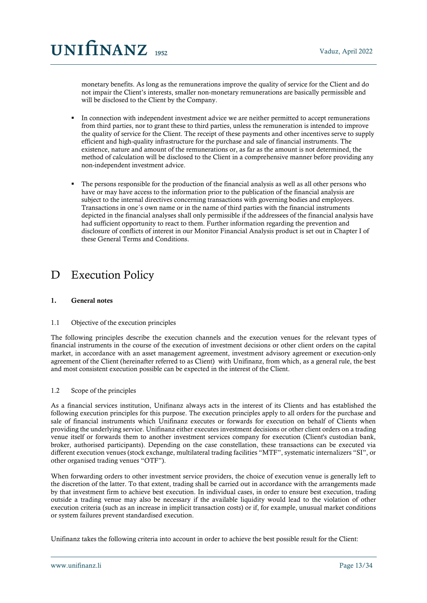monetary benefits. As long as the remunerations improve the quality of service for the Client and do not impair the Client's interests, smaller non-monetary remunerations are basically permissible and will be disclosed to the Client by the Company.

- In connection with independent investment advice we are neither permitted to accept remunerations from third parties, nor to grant these to third parties, unless the remuneration is intended to improve the quality of service for the Client. The receipt of these payments and other incentives serve to supply efficient and high-quality infrastructure for the purchase and sale of financial instruments. The existence, nature and amount of the remunerations or, as far as the amount is not determined, the method of calculation will be disclosed to the Client in a comprehensive manner before providing any non-independent investment advice.
- The persons responsible for the production of the financial analysis as well as all other persons who have or may have access to the information prior to the publication of the financial analysis are subject to the internal directives concerning transactions with governing bodies and employees. Transactions in one´s own name or in the name of third parties with the financial instruments depicted in the financial analyses shall only permissible if the addressees of the financial analysis have had sufficient opportunity to react to them. Further information regarding the prevention and disclosure of conflicts of interest in our Monitor Financial Analysis product is set out in Chapter I of these General Terms and Conditions.

## <span id="page-12-0"></span>D Execution Policy

## 1. General notes

### 1.1 Objective of the execution principles

The following principles describe the execution channels and the execution venues for the relevant types of financial instruments in the course of the execution of investment decisions or other client orders on the capital market, in accordance with an asset management agreement, investment advisory agreement or execution-only agreement of the Client (hereinafter referred to as Client) with Unifinanz, from which, as a general rule, the best and most consistent execution possible can be expected in the interest of the Client.

## 1.2 Scope of the principles

As a financial services institution, Unifinanz always acts in the interest of its Clients and has established the following execution principles for this purpose. The execution principles apply to all orders for the purchase and sale of financial instruments which Unifinanz executes or forwards for execution on behalf of Clients when providing the underlying service. Unifinanz either executes investment decisions or other client orders on a trading venue itself or forwards them to another investment services company for execution (Client's custodian bank, broker, authorised participants). Depending on the case constellation, these transactions can be executed via different execution venues (stock exchange, multilateral trading facilities "MTF", systematic internalizers "SI", or other organised trading venues "OTF").

When forwarding orders to other investment service providers, the choice of execution venue is generally left to the discretion of the latter. To that extent, trading shall be carried out in accordance with the arrangements made by that investment firm to achieve best execution. In individual cases, in order to ensure best execution, trading outside a trading venue may also be necessary if the available liquidity would lead to the violation of other execution criteria (such as an increase in implicit transaction costs) or if, for example, unusual market conditions or system failures prevent standardised execution.

Unifinanz takes the following criteria into account in order to achieve the best possible result for the Client: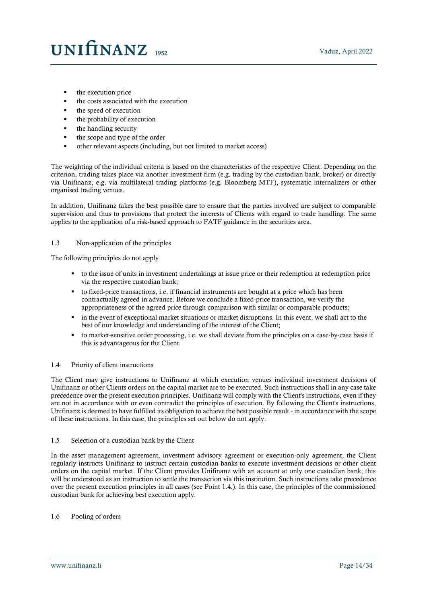- the execution price
- the costs associated with the execution
- the speed of execution
- the probability of execution
- the handling security
- the scope and type of the order
- other relevant aspects (including, but not limited to market access)

The weighting of the individual criteria is based on the characteristics of the respective Client. Depending on the criterion, trading takes place via another investment firm (e.g. trading by the custodian bank, broker) or directly via Unifinanz, e.g. via multilateral trading platforms (e.g. Bloomberg MTF), systematic internalizers or other organised trading venues.

In addition, Unifinanz takes the best possible care to ensure that the parties involved are subject to comparable supervision and thus to provisions that protect the interests of Clients with regard to trade handling. The same applies to the application of a risk-based approach to FATF guidance in the securities area.

#### 1.3 Non-application of the principles

The following principles do not apply

- to the issue of units in investment undertakings at issue price or their redemption at redemption price via the respective custodian bank;
- to fixed-price transactions, i.e. if financial instruments are bought at a price which has been contractually agreed in advance. Before we conclude a fixed-price transaction, we verify the appropriateness of the agreed price through comparison with similar or comparable products;
- in the event of exceptional market situations or market disruptions. In this event, we shall act to the best of our knowledge and understanding of the interest of the Client;
- to market-sensitive order processing, i.e. we shall deviate from the principles on a case-by-case basis if this is advantageous for the Client.

#### 1.4 Priority of client instructions

The Client may give instructions to Unifinanz at which execution venues individual investment decisions of Unifinanz or other Clients orders on the capital market are to be executed. Such instructions shall in any case take precedence over the present execution principles. Unifinanz will comply with the Client's instructions, even if they are not in accordance with or even contradict the principles of execution. By following the Client's instructions, Unifinanz is deemed to have fulfilled its obligation to achieve the best possible result - in accordance with the scope of these instructions. In this case, the principles set out below do not apply.

#### 1.5 Selection of a custodian bank by the Client

In the asset management agreement, investment advisory agreement or execution-only agreement, the Client regularly instructs Unifinanz to instruct certain custodian banks to execute investment decisions or other client orders on the capital market. If the Client provides Unifinanz with an account at only one custodian bank, this will be understood as an instruction to settle the transaction via this institution. Such instructions take precedence over the present execution principles in all cases (see Point 1.4.). In this case, the principles of the commissioned custodian bank for achieving best execution apply.

### 1.6 Pooling of orders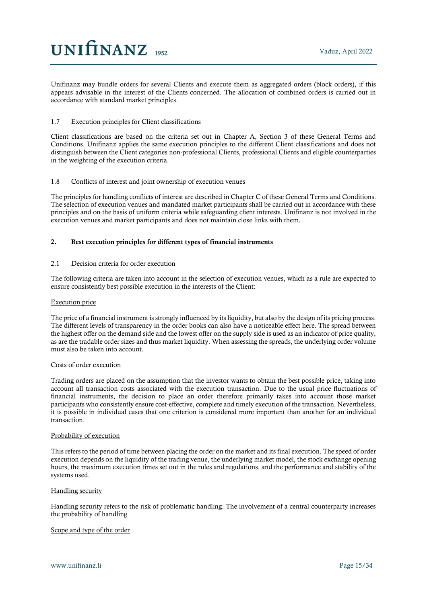Unifinanz may bundle orders for several Clients and execute them as aggregated orders (block orders), if this appears advisable in the interest of the Clients concerned. The allocation of combined orders is carried out in accordance with standard market principles.

#### 1.7 Execution principles for Client classifications

Client classifications are based on the criteria set out in Chapter A, Section 3 of these General Terms and Conditions. Unifinanz applies the same execution principles to the different Client classifications and does not distinguish between the Client categories non-professional Clients, professional Clients and eligible counterparties in the weighting of the execution criteria.

#### 1.8 Conflicts of interest and joint ownership of execution venues

The principles for handling conflicts of interest are described in Chapter C of these General Terms and Conditions. The selection of execution venues and mandated market participants shall be carried out in accordance with these principles and on the basis of uniform criteria while safeguarding client interests. Unifinanz is not involved in the execution venues and market participants and does not maintain close links with them.

#### 2. Best execution principles for different types of financial instruments

#### 2.1 Decision criteria for order execution

The following criteria are taken into account in the selection of execution venues, which as a rule are expected to ensure consistently best possible execution in the interests of the Client:

#### Execution price

The price of a financial instrument is strongly influenced by its liquidity, but also by the design of its pricing process. The different levels of transparency in the order books can also have a noticeable effect here. The spread between the highest offer on the demand side and the lowest offer on the supply side is used as an indicator of price quality, as are the tradable order sizes and thus market liquidity. When assessing the spreads, the underlying order volume must also be taken into account.

#### Costs of order execution

Trading orders are placed on the assumption that the investor wants to obtain the best possible price, taking into account all transaction costs associated with the execution transaction. Due to the usual price fluctuations of financial instruments, the decision to place an order therefore primarily takes into account those market participants who consistently ensure cost-effective, complete and timely execution of the transaction. Nevertheless, it is possible in individual cases that one criterion is considered more important than another for an individual transaction.

#### Probability of execution

This refers to the period of time between placing the order on the market and its final execution. The speed of order execution depends on the liquidity of the trading venue, the underlying market model, the stock exchange opening hours, the maximum execution times set out in the rules and regulations, and the performance and stability of the systems used.

### Handling security

Handling security refers to the risk of problematic handling. The involvement of a central counterparty increases the probability of handling

#### Scope and type of the order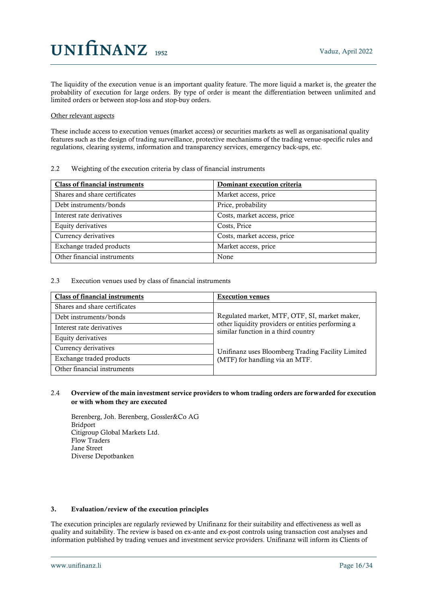The liquidity of the execution venue is an important quality feature. The more liquid a market is, the greater the probability of execution for large orders. By type of order is meant the differentiation between unlimited and limited orders or between stop-loss and stop-buy orders.

#### Other relevant aspects

These include access to execution venues (market access) or securities markets as well as organisational quality features such as the design of trading surveillance, protective mechanisms of the trading venue-specific rules and regulations, clearing systems, information and transparency services, emergency back-ups, etc.

#### 2.2 Weighting of the execution criteria by class of financial instruments

| <b>Class of financial instruments</b> | Dominant execution criteria |
|---------------------------------------|-----------------------------|
| Shares and share certificates         | Market access, price        |
| Debt instruments/bonds                | Price, probability          |
| Interest rate derivatives             | Costs, market access, price |
| Equity derivatives                    | Costs, Price                |
| Currency derivatives                  | Costs, market access, price |
| Exchange traded products              | Market access, price        |
| Other financial instruments           | None                        |

## 2.3 Execution venues used by class of financial instruments

| <b>Class of financial instruments</b> | <b>Execution venues</b>                                                                   |
|---------------------------------------|-------------------------------------------------------------------------------------------|
| Shares and share certificates         |                                                                                           |
| Debt instruments/bonds                | Regulated market, MTF, OTF, SI, market maker,                                             |
| Interest rate derivatives             | other liquidity providers or entities performing a<br>similar function in a third country |
| Equity derivatives                    |                                                                                           |
| Currency derivatives                  | Unifinanz uses Bloomberg Trading Facility Limited                                         |
| Exchange traded products              | (MTF) for handling via an MTF.                                                            |
| Other financial instruments           |                                                                                           |

### 2.4 Overview of the main investment service providers to whom trading orders are forwarded for execution or with whom they are executed

Berenberg, Joh. Berenberg, Gossler&Co AG Bridport Citigroup Global Markets Ltd. Flow Traders Jane Street Diverse Depotbanken

### 3. Evaluation/review of the execution principles

The execution principles are regularly reviewed by Unifinanz for their suitability and effectiveness as well as quality and suitability. The review is based on ex-ante and ex-post controls using transaction cost analyses and information published by trading venues and investment service providers. Unifinanz will inform its Clients of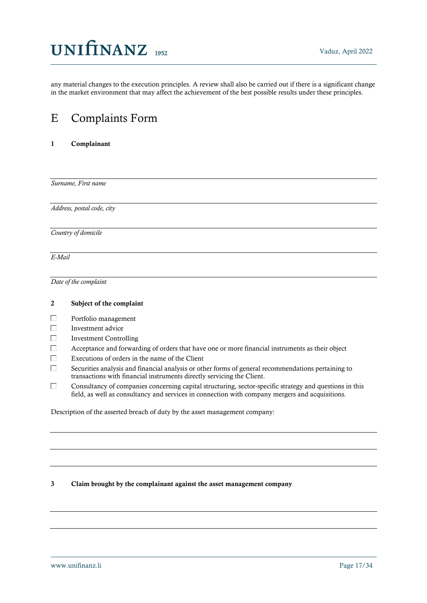any material changes to the execution principles. A review shall also be carried out if there is a significant change in the market environment that may affect the achievement of the best possible results under these principles.

# <span id="page-16-0"></span>E Complaints Form

### 1 Complainant

*Surname, First name*

*Address, postal code, city*

*Country of domicile*

*E-Mail*

*Date of the complaint*

#### 2 Subject of the complaint

- $\Box$ Portfolio management
- $\Box$ Investment advice
- $\Box$ Investment Controlling
- $\Box$ Acceptance and forwarding of orders that have one or more financial instruments as their object
- $\Box$ Executions of orders in the name of the Client
- $\Box$ Securities analysis and financial analysis or other forms of general recommendations pertaining to transactions with financial instruments directly servicing the Client.
- $\Box$ Consultancy of companies concerning capital structuring, sector-specific strategy and questions in this field, as well as consultancy and services in connection with company mergers and acquisitions.

Description of the asserted breach of duty by the asset management company:

### 3 Claim brought by the complainant against the asset management company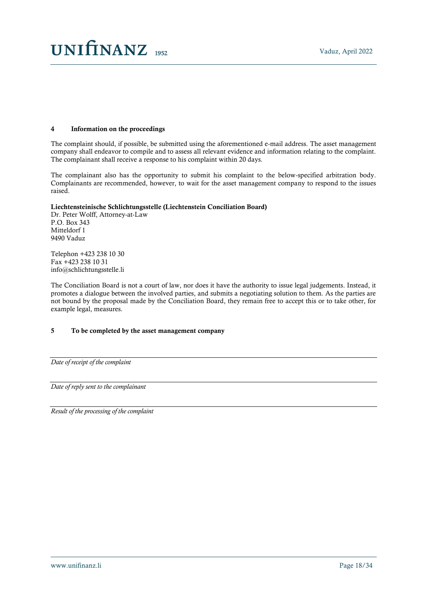### 4 Information on the proceedings

The complaint should, if possible, be submitted using the aforementioned e-mail address. The asset management company shall endeavor to compile and to assess all relevant evidence and information relating to the complaint. The complainant shall receive a response to his complaint within 20 days.

The complainant also has the opportunity to submit his complaint to the below-specified arbitration body. Complainants are recommended, however, to wait for the asset management company to respond to the issues raised.

### Liechtensteinische Schlichtungsstelle (Liechtenstein Conciliation Board)

Dr. Peter Wolff, Attorney-at-Law P.O. Box 343 Mitteldorf 1 9490 Vaduz

Telephon +423 238 10 30 Fax +423 238 10 31 info@schlichtungsstelle.li

The Conciliation Board is not a court of law, nor does it have the authority to issue legal judgements. Instead, it promotes a dialogue between the involved parties, and submits a negotiating solution to them. As the parties are not bound by the proposal made by the Conciliation Board, they remain free to accept this or to take other, for example legal, measures.

## 5 To be completed by the asset management company

*Date of receipt of the complaint*

*Date of reply sent to the complainant*

*Result of the processing of the complaint*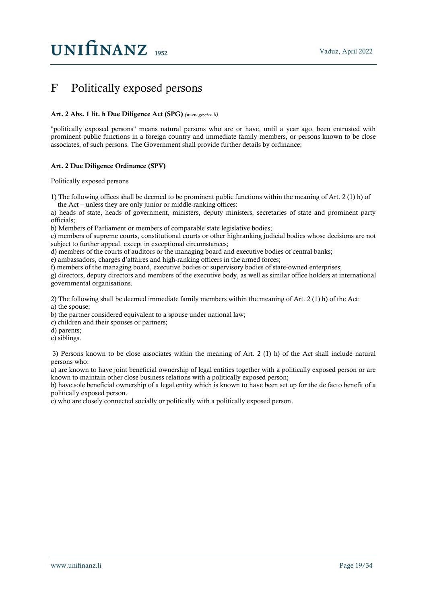# <span id="page-18-0"></span>F Politically exposed persons

### Art. 2 Abs. 1 lit. h Due Diligence Act (SPG) *[\(www.gesetze.li\)](http://www.gesetze.li/)*

"politically exposed persons" means natural persons who are or have, until a year ago, been entrusted with prominent public functions in a foreign country and immediate family members, or persons known to be close associates, of such persons. The Government shall provide further details by ordinance;

## Art. 2 Due Diligence Ordinance (SPV)

Politically exposed persons

1) The following offices shall be deemed to be prominent public functions within the meaning of Art. 2 (1) h) of the Act – unless they are only junior or middle-ranking offices:

a) heads of state, heads of government, ministers, deputy ministers, secretaries of state and prominent party officials;

b) Members of Parliament or members of comparable state legislative bodies;

c) members of supreme courts, constitutional courts or other highranking judicial bodies whose decisions are not subject to further appeal, except in exceptional circumstances;

d) members of the courts of auditors or the managing board and executive bodies of central banks;

e) ambassadors, chargés d'affaires and high-ranking officers in the armed forces;

f) members of the managing board, executive bodies or supervisory bodies of state-owned enterprises;

g) directors, deputy directors and members of the executive body, as well as similar office holders at international governmental organisations.

2) The following shall be deemed immediate family members within the meaning of Art. 2 (1) h) of the Act:

a) the spouse;

b) the partner considered equivalent to a spouse under national law;

c) children and their spouses or partners;

d) parents;

e) siblings.

3) Persons known to be close associates within the meaning of Art. 2 (1) h) of the Act shall include natural persons who:

a) are known to have joint beneficial ownership of legal entities together with a politically exposed person or are known to maintain other close business relations with a politically exposed person;

b) have sole beneficial ownership of a legal entity which is known to have been set up for the de facto benefit of a politically exposed person.

c) who are closely connected socially or politically with a politically exposed person.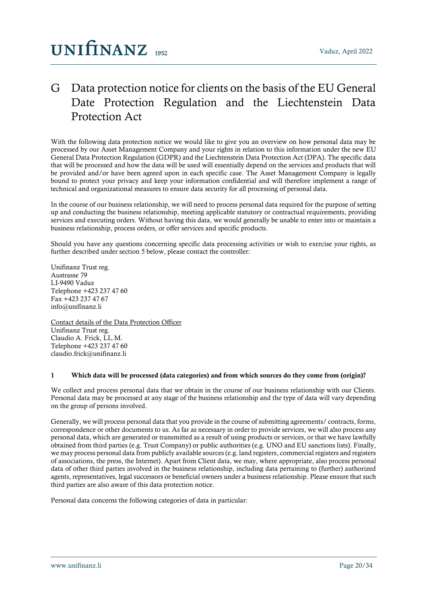# <span id="page-19-0"></span>G Data protection notice for clients on the basis of the EU General Date Protection Regulation and the Liechtenstein Data Protection Act

With the following data protection notice we would like to give you an overview on how personal data may be processed by our Asset Management Company and your rights in relation to this information under the new EU General Data Protection Regulation (GDPR) and the Liechtenstein Data Protection Act (DPA). The specific data that will be processed and how the data will be used will essentially depend on the services and products that will be provided and/or have been agreed upon in each specific case. The Asset Management Company is legally bound to protect your privacy and keep your information confidential and will therefore implement a range of technical and organizational measures to ensure data security for all processing of personal data.

In the course of our business relationship, we will need to process personal data required for the purpose of setting up and conducting the business relationship, meeting applicable statutory or contractual requirements, providing services and executing orders. Without having this data, we would generally be unable to enter into or maintain a business relationship, process orders, or offer services and specific products.

Should you have any questions concerning specific data processing activities or wish to exercise your rights, as further described under section 5 below, please contact the controller:

Unifinanz Trust reg. Austrasse 79 LI-9490 Vaduz Telephone +423 237 47 60 Fax +423 237 47 67 [info@unifinanz.li](mailto:info@unifinanz.li)

Contact details of the Data Protection Officer Unifinanz Trust reg. Claudio A. Frick, LL.M. Telephone +423 237 47 60 [claudio.frick@unifinanz.li](mailto:claudio.frick@unifinanz.li)

### 1 Which data will be processed (data categories) and from which sources do they come from (origin)?

We collect and process personal data that we obtain in the course of our business relationship with our Clients. Personal data may be processed at any stage of the business relationship and the type of data will vary depending on the group of persons involved.

Generally, we will process personal data that you provide in the course of submitting agreements/ contracts, forms, correspondence or other documents to us. As far as necessary in order to provide services, we will also process any personal data, which are generated or transmitted as a result of using products or services, or that we have lawfully obtained from third parties (e.g. Trust Company) or public authorities (e.g. UNO and EU sanctions lists). Finally, we may process personal data from publicly available sources (e.g. land registers, commercial registers and registers of associations, the press, the Internet). Apart from Client data, we may, where appropriate, also process personal data of other third parties involved in the business relationship, including data pertaining to (further) authorized agents, representatives, legal successors or beneficial owners under a business relationship. Please ensure that such third parties are also aware of this data protection notice.

Personal data concerns the following categories of data in particular: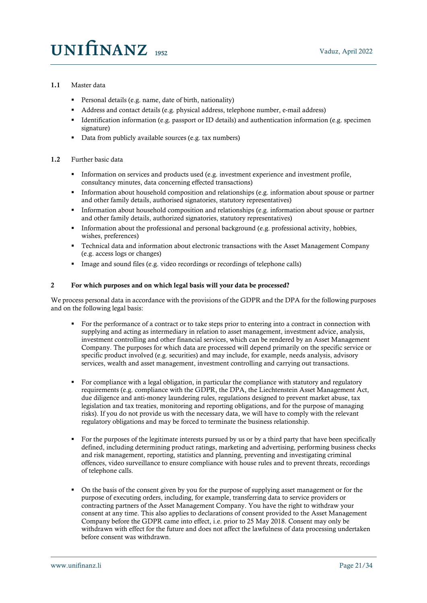### 1.1 Master data

- Personal details (e.g. name, date of birth, nationality)
- Address and contact details (e.g. physical address, telephone number, e-mail address)
- Identification information (e.g. passport or ID details) and authentication information (e.g. specimen signature)
- Data from publicly available sources (e.g. tax numbers)

### 1.2 Further basic data

- Information on services and products used (e.g. investment experience and investment profile, consultancy minutes, data concerning effected transactions)
- Information about household composition and relationships (e.g. information about spouse or partner and other family details, authorised signatories, statutory representatives)
- Information about household composition and relationships (e.g. information about spouse or partner and other family details, authorized signatories, statutory representatives)
- Information about the professional and personal background (e.g. professional activity, hobbies, wishes, preferences)
- Technical data and information about electronic transactions with the Asset Management Company (e.g. access logs or changes)
- Image and sound files (e.g. video recordings or recordings of telephone calls)

### 2 For which purposes and on which legal basis will your data be processed?

We process personal data in accordance with the provisions of the GDPR and the DPA for the following purposes and on the following legal basis:

- For the performance of a contract or to take steps prior to entering into a contract in connection with supplying and acting as intermediary in relation to asset management, investment advice, analysis, investment controlling and other financial services, which can be rendered by an Asset Management Company. The purposes for which data are processed will depend primarily on the specific service or specific product involved (e.g. securities) and may include, for example, needs analysis, advisory services, wealth and asset management, investment controlling and carrying out transactions.
- For compliance with a legal obligation, in particular the compliance with statutory and regulatory requirements (e.g. compliance with the GDPR, the DPA, the Liechtenstein Asset Management Act, due diligence and anti-money laundering rules, regulations designed to prevent market abuse, tax legislation and tax treaties, monitoring and reporting obligations, and for the purpose of managing risks). If you do not provide us with the necessary data, we will have to comply with the relevant regulatory obligations and may be forced to terminate the business relationship.
- For the purposes of the legitimate interests pursued by us or by a third party that have been specifically defined, including determining product ratings, marketing and advertising, performing business checks and risk management, reporting, statistics and planning, preventing and investigating criminal offences, video surveillance to ensure compliance with house rules and to prevent threats, recordings of telephone calls.
- On the basis of the consent given by you for the purpose of supplying asset management or for the purpose of executing orders, including, for example, transferring data to service providers or contracting partners of the Asset Management Company. You have the right to withdraw your consent at any time. This also applies to declarations of consent provided to the Asset Management Company before the GDPR came into effect, i.e. prior to 25 May 2018. Consent may only be withdrawn with effect for the future and does not affect the lawfulness of data processing undertaken before consent was withdrawn.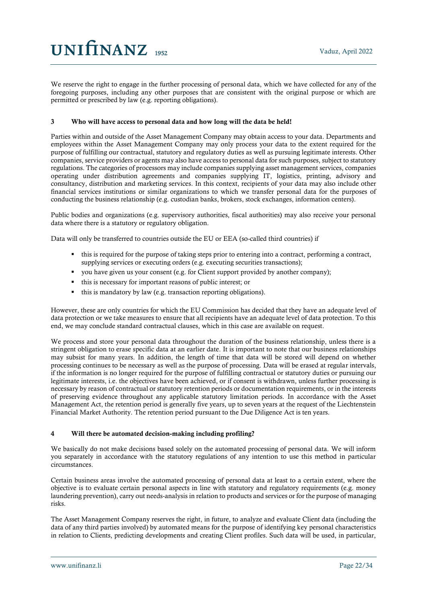We reserve the right to engage in the further processing of personal data, which we have collected for any of the foregoing purposes, including any other purposes that are consistent with the original purpose or which are permitted or prescribed by law (e.g. reporting obligations).

#### 3 Who will have access to personal data and how long will the data be held!

Parties within and outside of the Asset Management Company may obtain access to your data. Departments and employees within the Asset Management Company may only process your data to the extent required for the purpose of fulfilling our contractual, statutory and regulatory duties as well as pursuing legitimate interests. Other companies, service providers or agents may also have access to personal data for such purposes, subject to statutory regulations. The categories of processors may include companies supplying asset management services, companies operating under distribution agreements and companies supplying IT, logistics, printing, advisory and consultancy, distribution and marketing services. In this context, recipients of your data may also include other financial services institutions or similar organizations to which we transfer personal data for the purposes of conducting the business relationship (e.g. custodian banks, brokers, stock exchanges, information centers).

Public bodies and organizations (e.g. supervisory authorities, fiscal authorities) may also receive your personal data where there is a statutory or regulatory obligation.

Data will only be transferred to countries outside the EU or EEA (so-called third countries) if

- this is required for the purpose of taking steps prior to entering into a contract, performing a contract, supplying services or executing orders (e.g. executing securities transactions);
- you have given us your consent (e.g. for Client support provided by another company);
- this is necessary for important reasons of public interest; or
- this is mandatory by law (e.g. transaction reporting obligations).

However, these are only countries for which the EU Commission has decided that they have an adequate level of data protection or we take measures to ensure that all recipients have an adequate level of data protection. To this end, we may conclude standard contractual clauses, which in this case are available on request.

We process and store your personal data throughout the duration of the business relationship, unless there is a stringent obligation to erase specific data at an earlier date. It is important to note that our business relationships may subsist for many years. In addition, the length of time that data will be stored will depend on whether processing continues to be necessary as well as the purpose of processing. Data will be erased at regular intervals, if the information is no longer required for the purpose of fulfilling contractual or statutory duties or pursuing our legitimate interests, i.e. the objectives have been achieved, or if consent is withdrawn, unless further processing is necessary by reason of contractual or statutory retention periods or documentation requirements, or in the interests of preserving evidence throughout any applicable statutory limitation periods. In accordance with the Asset Management Act, the retention period is generally five years, up to seven years at the request of the Liechtenstein Financial Market Authority. The retention period pursuant to the Due Diligence Act is ten years.

#### 4 Will there be automated decision-making including profiling?

We basically do not make decisions based solely on the automated processing of personal data. We will inform you separately in accordance with the statutory regulations of any intention to use this method in particular circumstances.

Certain business areas involve the automated processing of personal data at least to a certain extent, where the objective is to evaluate certain personal aspects in line with statutory and regulatory requirements (e.g. money laundering prevention), carry out needs-analysis in relation to products and services or for the purpose of managing risks.

The Asset Management Company reserves the right, in future, to analyze and evaluate Client data (including the data of any third parties involved) by automated means for the purpose of identifying key personal characteristics in relation to Clients, predicting developments and creating Client profiles. Such data will be used, in particular,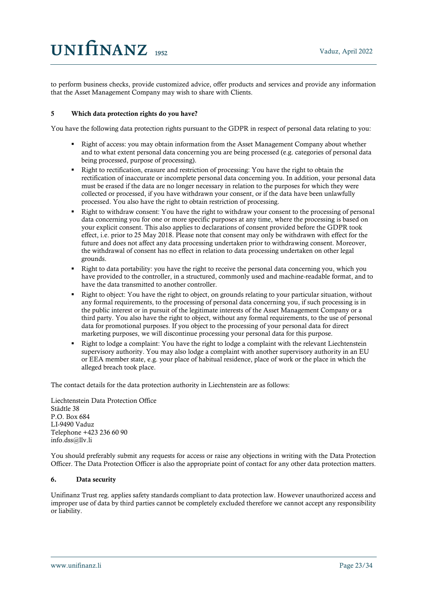to perform business checks, provide customized advice, offer products and services and provide any information that the Asset Management Company may wish to share with Clients.

### 5 Which data protection rights do you have?

You have the following data protection rights pursuant to the GDPR in respect of personal data relating to you:

- Right of access: you may obtain information from the Asset Management Company about whether and to what extent personal data concerning you are being processed (e.g. categories of personal data being processed, purpose of processing).
- Right to rectification, erasure and restriction of processing: You have the right to obtain the rectification of inaccurate or incomplete personal data concerning you. In addition, your personal data must be erased if the data are no longer necessary in relation to the purposes for which they were collected or processed, if you have withdrawn your consent, or if the data have been unlawfully processed. You also have the right to obtain restriction of processing.
- Right to withdraw consent: You have the right to withdraw your consent to the processing of personal data concerning you for one or more specific purposes at any time, where the processing is based on your explicit consent. This also applies to declarations of consent provided before the GDPR took effect, i.e. prior to 25 May 2018. Please note that consent may only be withdrawn with effect for the future and does not affect any data processing undertaken prior to withdrawing consent. Moreover, the withdrawal of consent has no effect in relation to data processing undertaken on other legal grounds.
- Right to data portability: you have the right to receive the personal data concerning you, which you have provided to the controller, in a structured, commonly used and machine-readable format, and to have the data transmitted to another controller.
- Right to object: You have the right to object, on grounds relating to your particular situation, without any formal requirements, to the processing of personal data concerning you, if such processing is in the public interest or in pursuit of the legitimate interests of the Asset Management Company or a third party. You also have the right to object, without any formal requirements, to the use of personal data for promotional purposes. If you object to the processing of your personal data for direct marketing purposes, we will discontinue processing your personal data for this purpose.
- Right to lodge a complaint: You have the right to lodge a complaint with the relevant Liechtenstein supervisory authority. You may also lodge a complaint with another supervisory authority in an EU or EEA member state, e.g. your place of habitual residence, place of work or the place in which the alleged breach took place.

The contact details for the data protection authority in Liechtenstein are as follows:

Liechtenstein Data Protection Office Städtle 38 P.O. Box 684 LI-9490 Vaduz Telephone +423 236 60 90 [info.dss@llv.li](mailto:info.dss@llv.li)

You should preferably submit any requests for access or raise any objections in writing with the Data Protection Officer. The Data Protection Officer is also the appropriate point of contact for any other data protection matters.

### 6. Data security

Unifinanz Trust reg. applies safety standards compliant to data protection law. However unauthorized access and improper use of data by third parties cannot be completely excluded therefore we cannot accept any responsibility or liability.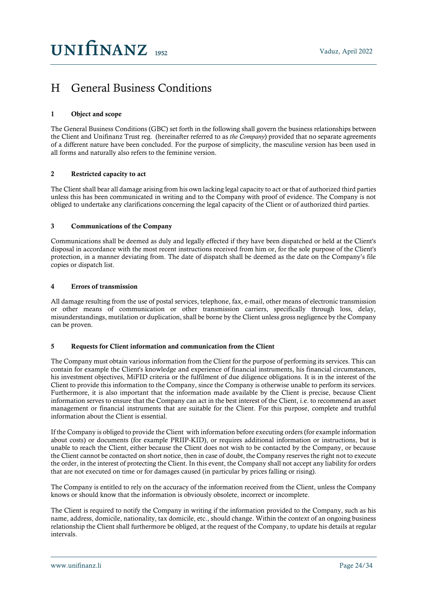## <span id="page-23-0"></span>H General Business Conditions

## 1 Object and scope

The General Business Conditions (GBC) set forth in the following shall govern the business relationships between the Client and Unifinanz Trust reg. (hereinafter referred to as *the Company*) provided that no separate agreements of a different nature have been concluded. For the purpose of simplicity, the masculine version has been used in all forms and naturally also refers to the feminine version.

### 2 Restricted capacity to act

The Client shall bear all damage arising from his own lacking legal capacity to act or that of authorized third parties unless this has been communicated in writing and to the Company with proof of evidence. The Company is not obliged to undertake any clarifications concerning the legal capacity of the Client or of authorized third parties.

### 3 Communications of the Company

Communications shall be deemed as duly and legally effected if they have been dispatched or held at the Client's disposal in accordance with the most recent instructions received from him or, for the sole purpose of the Client's protection, in a manner deviating from. The date of dispatch shall be deemed as the date on the Company's file copies or dispatch list.

### 4 Errors of transmission

All damage resulting from the use of postal services, telephone, fax, e-mail, other means of electronic transmission or other means of communication or other transmission carriers, specifically through loss, delay, misunderstandings, mutilation or duplication, shall be borne by the Client unless gross negligence by the Company can be proven.

### 5 Requests for Client information and communication from the Client

The Company must obtain various information from the Client for the purpose of performing its services. This can contain for example the Client's knowledge and experience of financial instruments, his financial circumstances, his investment objectives, MiFID criteria or the fulfilment of due diligence obligations. It is in the interest of the Client to provide this information to the Company, since the Company is otherwise unable to perform its services. Furthermore, it is also important that the information made available by the Client is precise, because Client information serves to ensure that the Company can act in the best interest of the Client, i.e. to recommend an asset management or financial instruments that are suitable for the Client. For this purpose, complete and truthful information about the Client is essential.

If the Company is obliged to provide the Client with information before executing orders (for example information about costs) or documents (for example PRIIP-KID), or requires additional information or instructions, but is unable to reach the Client, either because the Client does not wish to be contacted by the Company, or because the Client cannot be contacted on short notice, then in case of doubt, the Company reserves the right not to execute the order, in the interest of protecting the Client. In this event, the Company shall not accept any liability for orders that are not executed on time or for damages caused (in particular by prices falling or rising).

The Company is entitled to rely on the accuracy of the information received from the Client, unless the Company knows or should know that the information is obviously obsolete, incorrect or incomplete.

The Client is required to notify the Company in writing if the information provided to the Company, such as his name, address, domicile, nationality, tax domicile, etc., should change. Within the context of an ongoing business relationship the Client shall furthermore be obliged, at the request of the Company, to update his details at regular intervals.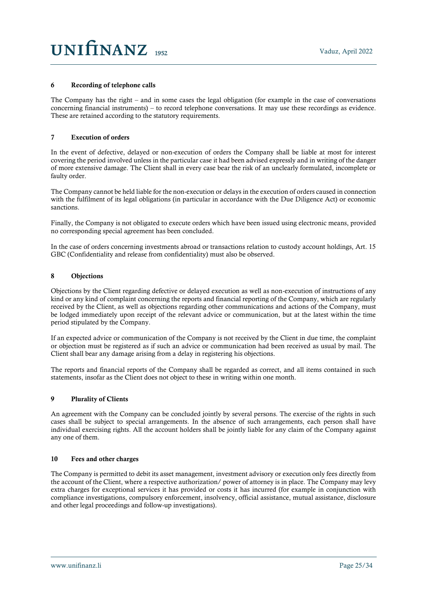### 6 Recording of telephone calls

The Company has the right – and in some cases the legal obligation (for example in the case of conversations concerning financial instruments) – to record telephone conversations. It may use these recordings as evidence. These are retained according to the statutory requirements.

### 7 Execution of orders

In the event of defective, delayed or non-execution of orders the Company shall be liable at most for interest covering the period involved unless in the particular case it had been advised expressly and in writing of the danger of more extensive damage. The Client shall in every case bear the risk of an unclearly formulated, incomplete or faulty order.

The Company cannot be held liable for the non-execution or delays in the execution of orders caused in connection with the fulfilment of its legal obligations (in particular in accordance with the Due Diligence Act) or economic sanctions.

Finally, the Company is not obligated to execute orders which have been issued using electronic means, provided no corresponding special agreement has been concluded.

In the case of orders concerning investments abroad or transactions relation to custody account holdings, Art. 15 GBC (Confidentiality and release from confidentiality) must also be observed.

### 8 Objections

Objections by the Client regarding defective or delayed execution as well as non-execution of instructions of any kind or any kind of complaint concerning the reports and financial reporting of the Company, which are regularly received by the Client, as well as objections regarding other communications and actions of the Company, must be lodged immediately upon receipt of the relevant advice or communication, but at the latest within the time period stipulated by the Company.

If an expected advice or communication of the Company is not received by the Client in due time, the complaint or objection must be registered as if such an advice or communication had been received as usual by mail. The Client shall bear any damage arising from a delay in registering his objections.

The reports and financial reports of the Company shall be regarded as correct, and all items contained in such statements, insofar as the Client does not object to these in writing within one month.

### 9 Plurality of Clients

An agreement with the Company can be concluded jointly by several persons. The exercise of the rights in such cases shall be subject to special arrangements. In the absence of such arrangements, each person shall have individual exercising rights. All the account holders shall be jointly liable for any claim of the Company against any one of them.

### 10 Fees and other charges

The Company is permitted to debit its asset management, investment advisory or execution only fees directly from the account of the Client, where a respective authorization/ power of attorney is in place. The Company may levy extra charges for exceptional services it has provided or costs it has incurred (for example in conjunction with compliance investigations, compulsory enforcement, insolvency, official assistance, mutual assistance, disclosure and other legal proceedings and follow-up investigations).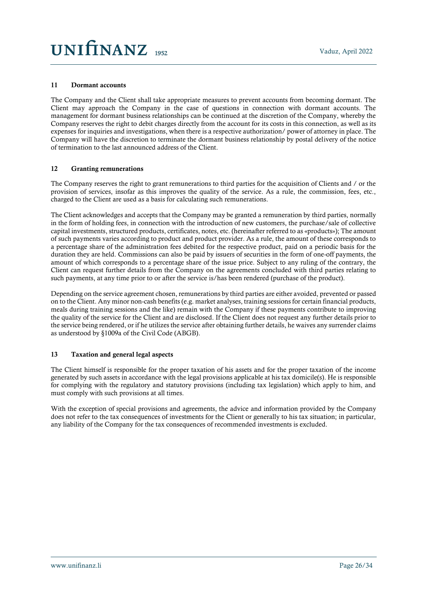# $UNIfINANZ_{1952}$

### 11 Dormant accounts

The Company and the Client shall take appropriate measures to prevent accounts from becoming dormant. The Client may approach the Company in the case of questions in connection with dormant accounts. The management for dormant business relationships can be continued at the discretion of the Company, whereby the Company reserves the right to debit charges directly from the account for its costs in this connection, as well as its expenses for inquiries and investigations, when there is a respective authorization/ power of attorney in place. The Company will have the discretion to terminate the dormant business relationship by postal delivery of the notice of termination to the last announced address of the Client.

### 12 Granting remunerations

The Company reserves the right to grant remunerations to third parties for the acquisition of Clients and / or the provision of services, insofar as this improves the quality of the service. As a rule, the commission, fees, etc., charged to the Client are used as a basis for calculating such remunerations.

The Client acknowledges and accepts that the Company may be granted a remuneration by third parties, normally in the form of holding fees, in connection with the introduction of new customers, the purchase/sale of collective capital investments, structured products, certificates, notes, etc. (hereinafter referred to as «products»); The amount of such payments varies according to product and product provider. As a rule, the amount of these corresponds to a percentage share of the administration fees debited for the respective product, paid on a periodic basis for the duration they are held. Commissions can also be paid by issuers of securities in the form of one-off payments, the amount of which corresponds to a percentage share of the issue price. Subject to any ruling of the contrary, the Client can request further details from the Company on the agreements concluded with third parties relating to such payments, at any time prior to or after the service is/has been rendered (purchase of the product).

Depending on the service agreement chosen, remunerations by third parties are either avoided, prevented or passed on to the Client. Any minor non-cash benefits (e.g. market analyses, training sessions for certain financial products, meals during training sessions and the like) remain with the Company if these payments contribute to improving the quality of the service for the Client and are disclosed. If the Client does not request any further details prior to the service being rendered, or if he utilizes the service after obtaining further details, he waives any surrender claims as understood by §1009a of the Civil Code (ABGB).

### 13 Taxation and general legal aspects

The Client himself is responsible for the proper taxation of his assets and for the proper taxation of the income generated by such assets in accordance with the legal provisions applicable at his tax domicile(s). He is responsible for complying with the regulatory and statutory provisions (including tax legislation) which apply to him, and must comply with such provisions at all times.

With the exception of special provisions and agreements, the advice and information provided by the Company does not refer to the tax consequences of investments for the Client or generally to his tax situation; in particular, any liability of the Company for the tax consequences of recommended investments is excluded.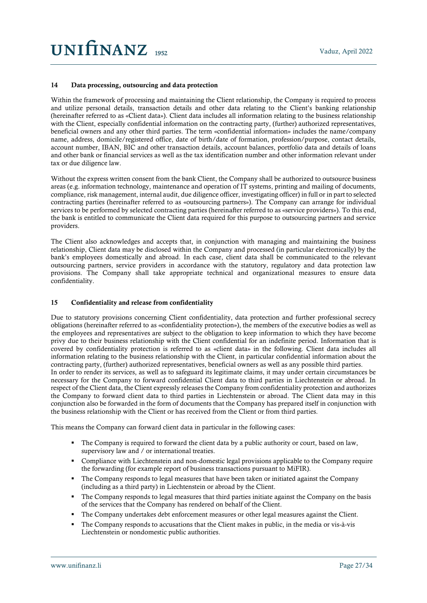#### 14 Data processing, outsourcing and data protection

Within the framework of processing and maintaining the Client relationship, the Company is required to process and utilize personal details, transaction details and other data relating to the Client's banking relationship (hereinafter referred to as «Client data»). Client data includes all information relating to the business relationship with the Client, especially confidential information on the contracting party, (further) authorized representatives, beneficial owners and any other third parties. The term «confidential information» includes the name/company name, address, domicile/registered office, date of birth/date of formation, profession/purpose, contact details, account number, IBAN, BIC and other transaction details, account balances, portfolio data and details of loans and other bank or financial services as well as the tax identification number and other information relevant under tax or due diligence law.

Without the express written consent from the bank Client, the Company shall be authorized to outsource business areas (e.g. information technology, maintenance and operation of IT systems, printing and mailing of documents, compliance, risk management, internal audit, due diligence officer, investigating officer) in full or in part to selected contracting parties (hereinafter referred to as «outsourcing partners»). The Company can arrange for individual services to be performed by selected contracting parties (hereinafter referred to as «service providers»). To this end, the bank is entitled to communicate the Client data required for this purpose to outsourcing partners and service providers.

The Client also acknowledges and accepts that, in conjunction with managing and maintaining the business relationship, Client data may be disclosed within the Company and processed (in particular electronically) by the bank's employees domestically and abroad. In each case, client data shall be communicated to the relevant outsourcing partners, service providers in accordance with the statutory, regulatory and data protection law provisions. The Company shall take appropriate technical and organizational measures to ensure data confidentiality.

### 15 Confidentiality and release from confidentiality

Due to statutory provisions concerning Client confidentiality, data protection and further professional secrecy obligations (hereinafter referred to as «confidentiality protection»), the members of the executive bodies as well as the employees and representatives are subject to the obligation to keep information to which they have become privy due to their business relationship with the Client confidential for an indefinite period. Information that is covered by confidentiality protection is referred to as «client data» in the following. Client data includes all information relating to the business relationship with the Client, in particular confidential information about the contracting party, (further) authorized representatives, beneficial owners as well as any possible third parties. In order to render its services, as well as to safeguard its legitimate claims, it may under certain circumstances be necessary for the Company to forward confidential Client data to third parties in Liechtenstein or abroad. In respect of the Client data, the Client expressly releases the Company from confidentiality protection and authorizes the Company to forward client data to third parties in Liechtenstein or abroad. The Client data may in this conjunction also be forwarded in the form of documents that the Company has prepared itself in conjunction with the business relationship with the Client or has received from the Client or from third parties.

This means the Company can forward client data in particular in the following cases:

- The Company is required to forward the client data by a public authority or court, based on law, supervisory law and / or international treaties.
- Compliance with Liechtenstein and non-domestic legal provisions applicable to the Company require the forwarding (for example report of business transactions pursuant to MiFIR).
- The Company responds to legal measures that have been taken or initiated against the Company (including as a third party) in Liechtenstein or abroad by the Client.
- The Company responds to legal measures that third parties initiate against the Company on the basis of the services that the Company has rendered on behalf of the Client.
- The Company undertakes debt enforcement measures or other legal measures against the Client.
- The Company responds to accusations that the Client makes in public, in the media or vis-à-vis Liechtenstein or nondomestic public authorities.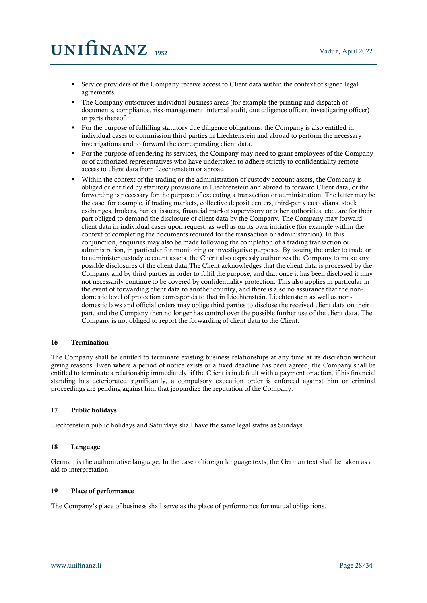- Service providers of the Company receive access to Client data within the context of signed legal agreements.
- The Company outsources individual business areas (for example the printing and dispatch of documents, compliance, risk-management, internal audit, due diligence officer, investigating officer) or parts thereof.
- For the purpose of fulfilling statutory due diligence obligations, the Company is also entitled in individual cases to commission third parties in Liechtenstein and abroad to perform the necessary investigations and to forward the corresponding client data.
- For the purpose of rendering its services, the Company may need to grant employees of the Company or of authorized representatives who have undertaken to adhere strictly to confidentiality remote access to client data from Liechtenstein or abroad.
- Within the context of the trading or the administration of custody account assets, the Company is obliged or entitled by statutory provisions in Liechtenstein and abroad to forward Client data, or the forwarding is necessary for the purpose of executing a transaction or administration. The latter may be the case, for example, if trading markets, collective deposit centers, third-party custodians, stock exchanges, brokers, banks, issuers, financial market supervisory or other authorities, etc., are for their part obliged to demand the disclosure of client data by the Company. The Company may forward client data in individual cases upon request, as well as on its own initiative (for example within the context of completing the documents required for the transaction or administration). In this conjunction, enquiries may also be made following the completion of a trading transaction or administration, in particular for monitoring or investigative purposes. By issuing the order to trade or to administer custody account assets, the Client also expressly authorizes the Company to make any possible disclosures of the client data.The Client acknowledges that the client data is processed by the Company and by third parties in order to fulfil the purpose, and that once it has been disclosed it may not necessarily continue to be covered by confidentiality protection. This also applies in particular in the event of forwarding client data to another country, and there is also no assurance that the nondomestic level of protection corresponds to that in Liechtenstein. Liechtenstein as well as nondomestic laws and official orders may oblige third parties to disclose the received client data on their part, and the Company then no longer has control over the possible further use of the client data. The Company is not obliged to report the forwarding of client data to the Client.

#### 16 Termination

The Company shall be entitled to terminate existing business relationships at any time at its discretion without giving reasons. Even where a period of notice exists or a fixed deadline has been agreed, the Company shall be entitled to terminate a relationship immediately, if the Client is in default with a payment or action, if his financial standing has deteriorated significantly, a compulsory execution order is enforced against him or criminal proceedings are pending against him that jeopardize the reputation of the Company.

#### 17 Public holidays

Liechtenstein public holidays and Saturdays shall have the same legal status as Sundays.

### 18 Language

German is the authoritative language. In the case of foreign language texts, the German text shall be taken as an aid to interpretation.

#### 19 Place of performance

The Company's place of business shall serve as the place of performance for mutual obligations.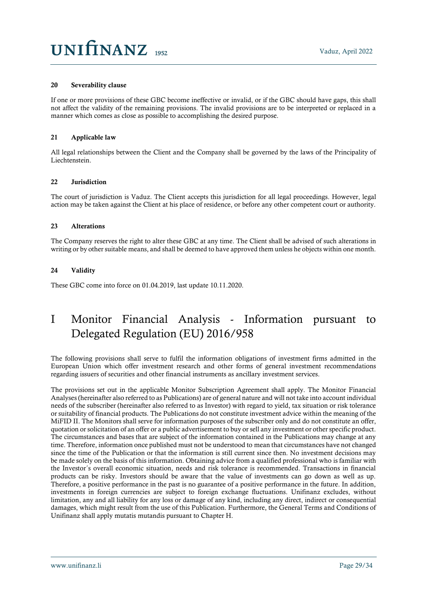### 20 Severability clause

If one or more provisions of these GBC become ineffective or invalid, or if the GBC should have gaps, this shall not affect the validity of the remaining provisions. The invalid provisions are to be interpreted or replaced in a manner which comes as close as possible to accomplishing the desired purpose.

### 21 Applicable law

All legal relationships between the Client and the Company shall be governed by the laws of the Principality of Liechtenstein.

### 22 Jurisdiction

The court of jurisdiction is Vaduz. The Client accepts this jurisdiction for all legal proceedings. However, legal action may be taken against the Client at his place of residence, or before any other competent court or authority.

### 23 Alterations

The Company reserves the right to alter these GBC at any time. The Client shall be advised of such alterations in writing or by other suitable means, and shall be deemed to have approved them unless he objects within one month.

## 24 Validity

<span id="page-28-0"></span>These GBC come into force on 01.04.2019, last update 10.11.2020.

## I Monitor Financial Analysis - Information pursuant to Delegated Regulation (EU) 2016/958

The following provisions shall serve to fulfil the information obligations of investment firms admitted in the European Union which offer investment research and other forms of general investment recommendations regarding issuers of securities and other financial instruments as ancillary investment services.

The provisions set out in the applicable Monitor Subscription Agreement shall apply. The Monitor Financial Analyses (hereinafter also referred to as Publications) are of general nature and will not take into account individual needs of the subscriber (hereinafter also referred to as Investor) with regard to yield, tax situation or risk tolerance or suitability of financial products. The Publications do not constitute investment advice within the meaning of the MiFID II. The Monitors shall serve for information purposes of the subscriber only and do not constitute an offer, quotation or solicitation of an offer or a public advertisement to buy or sell any investment or other specific product. The circumstances and bases that are subject of the information contained in the Publications may change at any time. Therefore, information once published must not be understood to mean that circumstances have not changed since the time of the Publication or that the information is still current since then. No investment decisions may be made solely on the basis of this information. Obtaining advice from a qualified professional who is familiar with the Investor´s overall economic situation, needs and risk tolerance is recommended. Transactions in financial products can be risky. Investors should be aware that the value of investments can go down as well as up. Therefore, a positive performance in the past is no guarantee of a positive performance in the future. In addition, investments in foreign currencies are subject to foreign exchange fluctuations. Unifinanz excludes, without limitation, any and all liability for any loss or damage of any kind, including any direct, indirect or consequential damages, which might result from the use of this Publication. Furthermore, the General Terms and Conditions of Unifinanz shall apply mutatis mutandis pursuant to Chapter H.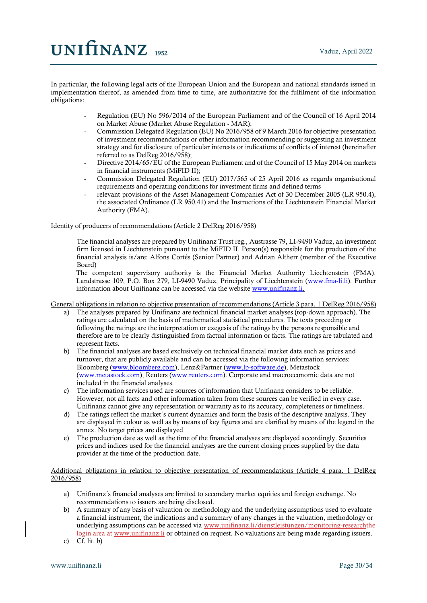In particular, the following legal acts of the European Union and the European and national standards issued in implementation thereof, as amended from time to time, are authoritative for the fulfilment of the information obligations:

- Regulation (EU) No 596/2014 of the European Parliament and of the Council of 16 April 2014 on Market Abuse (Market Abuse Regulation - MAR);
- Commission Delegated Regulation (EU) No 2016/958 of 9 March 2016 for objective presentation of investment recommendations or other information recommending or suggesting an investment strategy and for disclosure of particular interests or indications of conflicts of interest (hereinafter referred to as DelReg 2016/958);
- Directive 2014/65/EU of the European Parliament and of the Council of 15 May 2014 on markets in financial instruments (MiFID II);
- Commission Delegated Regulation (EU) 2017/565 of 25 April 2016 as regards organisational requirements and operating conditions for investment firms and defined terms
- relevant provisions of the Asset Management Companies Act of 30 December 2005 (LR 950.4), the associated Ordinance (LR 950.41) and the Instructions of the Liechtenstein Financial Market Authority (FMA).

#### Identity of producers of recommendations (Article 2 DelReg 2016/958)

The financial analyses are prepared by Unifinanz Trust reg., Austrasse 79, LI-9490 Vaduz, an investment firm licensed in Liechtenstein pursuant to the MiFID II. Person(s) responsible for the production of the financial analysis is/are: Alfons Cortés (Senior Partner) and Adrian Altherr (member of the Executive Board)

The competent supervisory authority is the Financial Market Authority Liechtenstein (FMA), Landstrasse 109, P.O. Box 279, LI-9490 Vaduz, Principality of Liechtenstein [\(www.fma-li.li\)](http://www.fma-li.li/). Further information about Unifinanz can be accessed via the websit[e www.unifinanz.li.](http://www.unifinanz.li/)

General obligations in relation to objective presentation of recommendations (Article 3 para. 1 DelReg 2016/958)

- a) The analyses prepared by Unifinanz are technical financial market analyses (top-down approach). The ratings are calculated on the basis of mathematical statistical procedures. The texts preceding or following the ratings are the interpretation or exegesis of the ratings by the persons responsible and therefore are to be clearly distinguished from factual information or facts. The ratings are tabulated and represent facts.
- b) The financial analyses are based exclusively on technical financial market data such as prices and turnover, that are publicly available and can be accessed via the following information services: Bloomberg [\(www.bloomberg.com\)](http://www.bloomberg.com/), Lenz&Partner [\(www.lp-software.de\)](http://www.lp-software.de/), Metastock [\(www.metastock.com\)](https://www.metastock.com/), Reuters [\(www.reuters.com\)](http://www.reuters.com/). Corporate and macroeconomic data are not included in the financial analyses.
- c) The information services used are sources of information that Unifinanz considers to be reliable. However, not all facts and other information taken from these sources can be verified in every case. Unifinanz cannot give any representation or warranty as to its accuracy, completeness or timeliness.
- d) The ratings reflect the market´s current dynamics and form the basis of the descriptive analysis. They are displayed in colour as well as by means of key figures and are clarified by means of the legend in the annex. No target prices are displayed
- e) The production date as well as the time of the financial analyses are displayed accordingly. Securities prices and indices used for the financial analyses are the current closing prices supplied by the data provider at the time of the production date.

### Additional obligations in relation to objective presentation of recommendations (Article 4 para. 1 DelReg 2016/958)

- a) Unifinanz´s financial analyses are limited to secondary market equities and foreign exchange. No recommendations to issuers are being disclosed.
- b) A summary of any basis of valuation or methodology and the underlying assumptions used to evaluate a financial instrument, the indications and a summary of any changes in the valuation, methodology or underlying assumptions can be accessed via [www.unifinanz.li/dienstleistungen/monitoring-researcht](https://eur01.safelinks.protection.outlook.com/?url=http%3A%2F%2Fwww.unifinanz.li%2Fdienstleistungen%2Fmonitoring-research&data=04%7C01%7Cclaudio.frick%40fricklaw.li%7C8b41e482af7b433694ba08da1087b9a4%7Cc7fd8f16d2b3416a9a399054a6314150%7C0%7C0%7C637840472362228140%7CUnknown%7CTWFpbGZsb3d8eyJWIjoiMC4wLjAwMDAiLCJQIjoiV2luMzIiLCJBTiI6Ik1haWwiLCJXVCI6Mn0%3D%7C3000&sdata=%2F32IVp7ZiH7KIrxEf3usdNJZ65MVVHeEZnIqbSRW6sw%3D&reserved=0)he login area at www.unifinanz.li or obtained on request. No valuations are being made regarding issuers.

c) Cf. lit. b)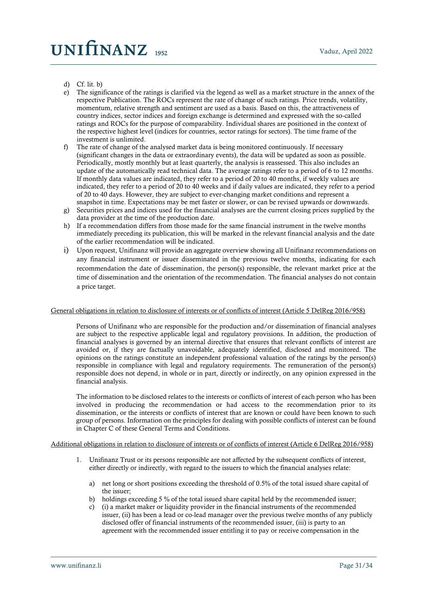#### d) Cf. lit. b)

- e) The significance of the ratings is clarified via the legend as well as a market structure in the annex of the respective Publication. The ROCs represent the rate of change of such ratings. Price trends, volatility, momentum, relative strength and sentiment are used as a basis. Based on this, the attractiveness of country indices, sector indices and foreign exchange is determined and expressed with the so-called ratings and ROCs for the purpose of comparability. Individual shares are positioned in the context of the respective highest level (indices for countries, sector ratings for sectors). The time frame of the investment is unlimited.
- f) The rate of change of the analysed market data is being monitored continuously. If necessary (significant changes in the data or extraordinary events), the data will be updated as soon as possible. Periodically, mostly monthly but at least quarterly, the analysis is reassessed. This also includes an update of the automatically read technical data. The average ratings refer to a period of 6 to 12 months. If monthly data values are indicated, they refer to a period of 20 to 40 months, if weekly values are indicated, they refer to a period of 20 to 40 weeks and if daily values are indicated, they refer to a period of 20 to 40 days. However, they are subject to ever-changing market conditions and represent a snapshot in time. Expectations may be met faster or slower, or can be revised upwards or downwards.
- g) Securities prices and indices used for the financial analyses are the current closing prices supplied by the data provider at the time of the production date.
- h) If a recommendation differs from those made for the same financial instrument in the twelve months immediately preceding its publication, this will be marked in the relevant financial analysis and the date of the earlier recommendation will be indicated.
- i) Upon request, Unifinanz will provide an aggregate overview showing all Unifinanz recommendations on any financial instrument or issuer disseminated in the previous twelve months, indicating for each recommendation the date of dissemination, the person(s) responsible, the relevant market price at the time of dissemination and the orientation of the recommendation. The financial analyses do not contain a price target.

#### General obligations in relation to disclosure of interests or of conflicts of interest (Article 5 DelReg 2016/958)

Persons of Unifinanz who are responsible for the production and/or dissemination of financial analyses are subject to the respective applicable legal and regulatory provisions. In addition, the production of financial analyses is governed by an internal directive that ensures that relevant conflicts of interest are avoided or, if they are factually unavoidable, adequately identified, disclosed and monitored. The opinions on the ratings constitute an independent professional valuation of the ratings by the person(s) responsible in compliance with legal and regulatory requirements. The remuneration of the person(s) responsible does not depend, in whole or in part, directly or indirectly, on any opinion expressed in the financial analysis.

The information to be disclosed relates to the interests or conflicts of interest of each person who has been involved in producing the recommendation or had access to the recommendation prior to its dissemination, or the interests or conflicts of interest that are known or could have been known to such group of persons. Information on the principles for dealing with possible conflicts of interest can be found in Chapter C of these General Terms and Conditions.

#### Additional obligations in relation to disclosure of interests or of conflicts of interest (Article 6 DelReg 2016/958)

- 1. Unifinanz Trust or its persons responsible are not affected by the subsequent conflicts of interest, either directly or indirectly, with regard to the issuers to which the financial analyses relate:
	- a) net long or short positions exceeding the threshold of 0.5% of the total issued share capital of the issuer;
	- b) holdings exceeding 5 % of the total issued share capital held by the recommended issuer;
	- c) (i) a market maker or liquidity provider in the financial instruments of the recommended issuer, (ii) has been a lead or co-lead manager over the previous twelve months of any publicly disclosed offer of financial instruments of the recommended issuer, (iii) is party to an agreement with the recommended issuer entitling it to pay or receive compensation in the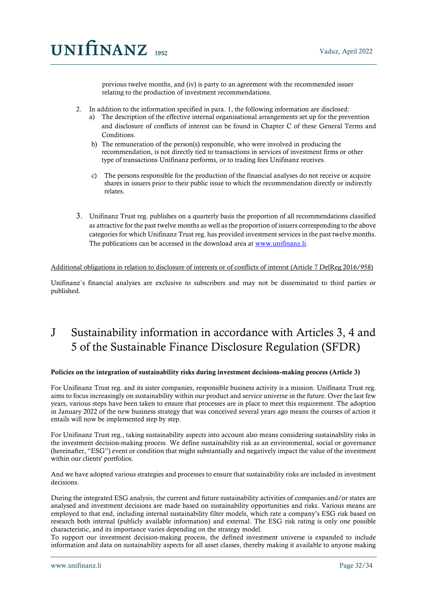previous twelve months, and (iv) is party to an agreement with the recommended issuer relating to the production of investment recommendations.

- 2. In addition to the information specified in para. 1, the following information are disclosed:
	- a) The description of the effective internal organisational arrangements set up for the prevention and disclosure of conflicts of interest can be found in Chapter C of these General Terms and Conditions.
	- b) The remuneration of the person(s) responsible, who were involved in producing the recommendation, is not directly tied to transactions in services of investment firms or other type of transactions Unifinanz performs, or to trading fees Unifinanz receives.
	- c) The persons responsible for the production of the financial analyses do not receive or acquire shares in issuers prior to their public issue to which the recommendation directly or indirectly relates.
- 3. Unifinanz Trust reg. publishes on a quarterly basis the proportion of all recommendations classified as attractive for the past twelve months as well as the proportion of issuers corresponding to the above categories for which Unifinanz Trust reg. has provided investment services in the past twelve months. The publications can be accessed in the download area at [www.unifinanz.li.](http://www.unifinanz.li/)

Additional obligations in relation to disclosure of interests or of conflicts of interest (Article 7 DelReg 2016/958)

Unifinanz´s financial analyses are exclusive to subscribers and may not be disseminated to third parties or published.

# <span id="page-31-0"></span>J Sustainability information in accordance with Articles 3, 4 and 5 of the Sustainable Finance Disclosure Regulation (SFDR)

### Policies on the integration of sustainability risks during investment decisions-making process (Article 3)

For Unifinanz Trust reg. and its sister companies, responsible business activity is a mission. Unifinanz Trust reg. aims to focus increasingly on sustainability within our product and service universe in the future. Over the last few years, various steps have been taken to ensure that processes are in place to meet this requirement. The adoption in January 2022 of the new business strategy that was conceived several years ago means the courses of action it entails will now be implemented step by step.

For Unifinanz Trust reg., taking sustainability aspects into account also means considering sustainability risks in the investment decision-making process. We define sustainability risk as an environmental, social or governance (hereinafter, "ESG") event or condition that might substantially and negatively impact the value of the investment within our clients' portfolios.

And we have adopted various strategies and processes to ensure that sustainability risks are included in investment decisions.

During the integrated ESG analysis, the current and future sustainability activities of companies and/or states are analysed and investment decisions are made based on sustainability opportunities and risks. Various means are employed to that end, including internal sustainability filter models, which rate a company's ESG risk based on research both internal (publicly available information) and external. The ESG risk rating is only one possible characteristic, and its importance varies depending on the strategy model.

To support our investment decision-making process, the defined investment universe is expanded to include information and data on sustainability aspects for all asset classes, thereby making it available to anyone making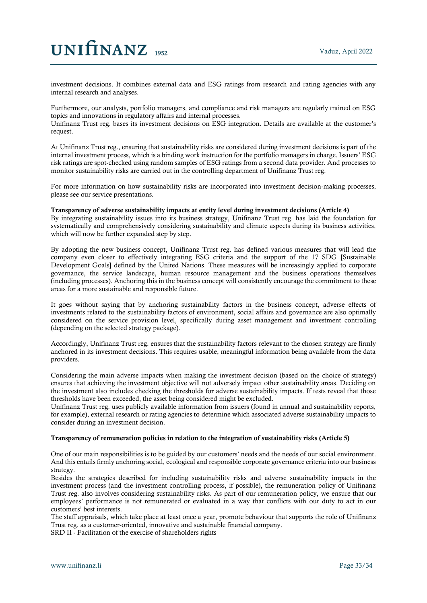investment decisions. It combines external data and ESG ratings from research and rating agencies with any internal research and analyses.

Furthermore, our analysts, portfolio managers, and compliance and risk managers are regularly trained on ESG topics and innovations in regulatory affairs and internal processes.

Unifinanz Trust reg. bases its investment decisions on ESG integration. Details are available at the customer's request.

At Unifinanz Trust reg., ensuring that sustainability risks are considered during investment decisions is part of the internal investment process, which is a binding work instruction for the portfolio managers in charge. Issuers' ESG risk ratings are spot-checked using random samples of ESG ratings from a second data provider. And processes to monitor sustainability risks are carried out in the controlling department of Unifinanz Trust reg.

For more information on how sustainability risks are incorporated into investment decision-making processes, please see our service presentations.

#### Transparency of adverse sustainability impacts at entity level during investment decisions (Article 4)

By integrating sustainability issues into its business strategy, Unifinanz Trust reg. has laid the foundation for systematically and comprehensively considering sustainability and climate aspects during its business activities, which will now be further expanded step by step.

By adopting the new business concept, Unifinanz Trust reg. has defined various measures that will lead the company even closer to effectively integrating ESG criteria and the support of the 17 SDG [Sustainable Development Goals] defined by the United Nations. These measures will be increasingly applied to corporate governance, the service landscape, human resource management and the business operations themselves (including processes). Anchoring this in the business concept will consistently encourage the commitment to these areas for a more sustainable and responsible future.

It goes without saying that by anchoring sustainability factors in the business concept, adverse effects of investments related to the sustainability factors of environment, social affairs and governance are also optimally considered on the service provision level, specifically during asset management and investment controlling (depending on the selected strategy package).

Accordingly, Unifinanz Trust reg. ensures that the sustainability factors relevant to the chosen strategy are firmly anchored in its investment decisions. This requires usable, meaningful information being available from the data providers.

Considering the main adverse impacts when making the investment decision (based on the choice of strategy) ensures that achieving the investment objective will not adversely impact other sustainability areas. Deciding on the investment also includes checking the thresholds for adverse sustainability impacts. If tests reveal that those thresholds have been exceeded, the asset being considered might be excluded.

Unifinanz Trust reg. uses publicly available information from issuers (found in annual and sustainability reports, for example), external research or rating agencies to determine which associated adverse sustainability impacts to consider during an investment decision.

#### Transparency of remuneration policies in relation to the integration of sustainability risks (Article 5)

One of our main responsibilities is to be guided by our customers' needs and the needs of our social environment. And this entails firmly anchoring social, ecological and responsible corporate governance criteria into our business strategy.

Besides the strategies described for including sustainability risks and adverse sustainability impacts in the investment process (and the investment controlling process, if possible), the remuneration policy of Unifinanz Trust reg. also involves considering sustainability risks. As part of our remuneration policy, we ensure that our employees' performance is not remunerated or evaluated in a way that conflicts with our duty to act in our customers' best interests.

The staff appraisals, which take place at least once a year, promote behaviour that supports the role of Unifinanz Trust reg. as a customer-oriented, innovative and sustainable financial company.

SRD II - Facilitation of the exercise of shareholders rights